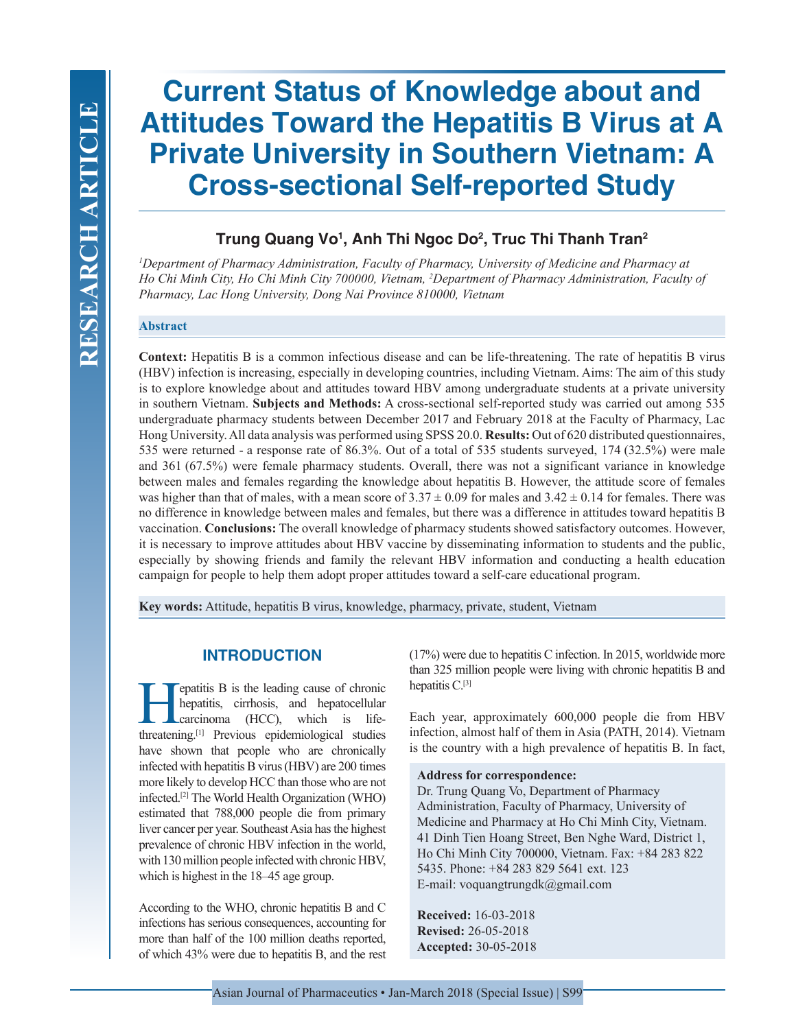# **Current Status of Knowledge about and Attitudes Toward the Hepatitis B Virus at A Private University in Southern Vietnam: A Cross-sectional Self-reported Study**

## **Trung Quang Vo1 , Anh Thi Ngoc Do2 , Truc Thi Thanh Tran2**

*1 Department of Pharmacy Administration, Faculty of Pharmacy, University of Medicine and Pharmacy at Ho Chi Minh City, Ho Chi Minh City 700000, Vietnam, 2 Department of Pharmacy Administration, Faculty of Pharmacy, Lac Hong University, Dong Nai Province 810000, Vietnam*

#### **Abstract**

**Context:** Hepatitis B is a common infectious disease and can be life-threatening. The rate of hepatitis B virus (HBV) infection is increasing, especially in developing countries, including Vietnam. Aims: The aim of this study is to explore knowledge about and attitudes toward HBV among undergraduate students at a private university in southern Vietnam. **Subjects and Methods:** A cross-sectional self-reported study was carried out among 535 undergraduate pharmacy students between December 2017 and February 2018 at the Faculty of Pharmacy, Lac Hong University. All data analysis was performed using SPSS 20.0. **Results:** Out of 620 distributed questionnaires, 535 were returned - a response rate of 86.3%. Out of a total of 535 students surveyed, 174 (32.5%) were male and 361 (67.5%) were female pharmacy students. Overall, there was not a significant variance in knowledge between males and females regarding the knowledge about hepatitis B. However, the attitude score of females was higher than that of males, with a mean score of  $3.37 \pm 0.09$  for males and  $3.42 \pm 0.14$  for females. There was no difference in knowledge between males and females, but there was a difference in attitudes toward hepatitis B vaccination. **Conclusions:** The overall knowledge of pharmacy students showed satisfactory outcomes. However, it is necessary to improve attitudes about HBV vaccine by disseminating information to students and the public, especially by showing friends and family the relevant HBV information and conducting a health education campaign for people to help them adopt proper attitudes toward a self-care educational program.

**Key words:** Attitude, hepatitis B virus, knowledge, pharmacy, private, student, Vietnam

## **INTRODUCTION**

**Hepatitis B** is the leading cause of chronic<br>hepatitis, cirrhosis, and hepatocellular<br>carcinoma (HCC), which is life-<br>threatening [1] Previous enidemiological studies hepatitis, cirrhosis, and hepatocellular carcinoma (HCC), which is lifethreatening.[1] Previous epidemiological studies have shown that people who are chronically infected with hepatitis B virus (HBV) are 200 times more likely to develop HCC than those who are not infected.[2] The World Health Organization (WHO) estimated that 788,000 people die from primary liver cancer per year. Southeast Asia has the highest prevalence of chronic HBV infection in the world, with 130 million people infected with chronic HBV, which is highest in the 18–45 age group.

According to the WHO, chronic hepatitis B and C infections has serious consequences, accounting for more than half of the 100 million deaths reported, of which 43% were due to hepatitis B, and the rest (17%) were due to hepatitis C infection. In 2015, worldwide more than 325 million people were living with chronic hepatitis B and hepatitis C.<sup>[3]</sup>

Each year, approximately 600,000 people die from HBV infection, almost half of them in Asia (PATH, 2014). Vietnam is the country with a high prevalence of hepatitis B. In fact,

#### **Address for correspondence:**

Dr. Trung Quang Vo, Department of Pharmacy Administration, Faculty of Pharmacy, University of Medicine and Pharmacy at Ho Chi Minh City, Vietnam. 41 Dinh Tien Hoang Street, Ben Nghe Ward, District 1, Ho Chi Minh City 700000, Vietnam. Fax: +84 283 822 5435. Phone: +84 283 829 5641 ext. 123 E-mail: voquangtrungdk@gmail.com

**Received:** 16-03-2018 **Revised:** 26-05-2018 **Accepted:** 30-05-2018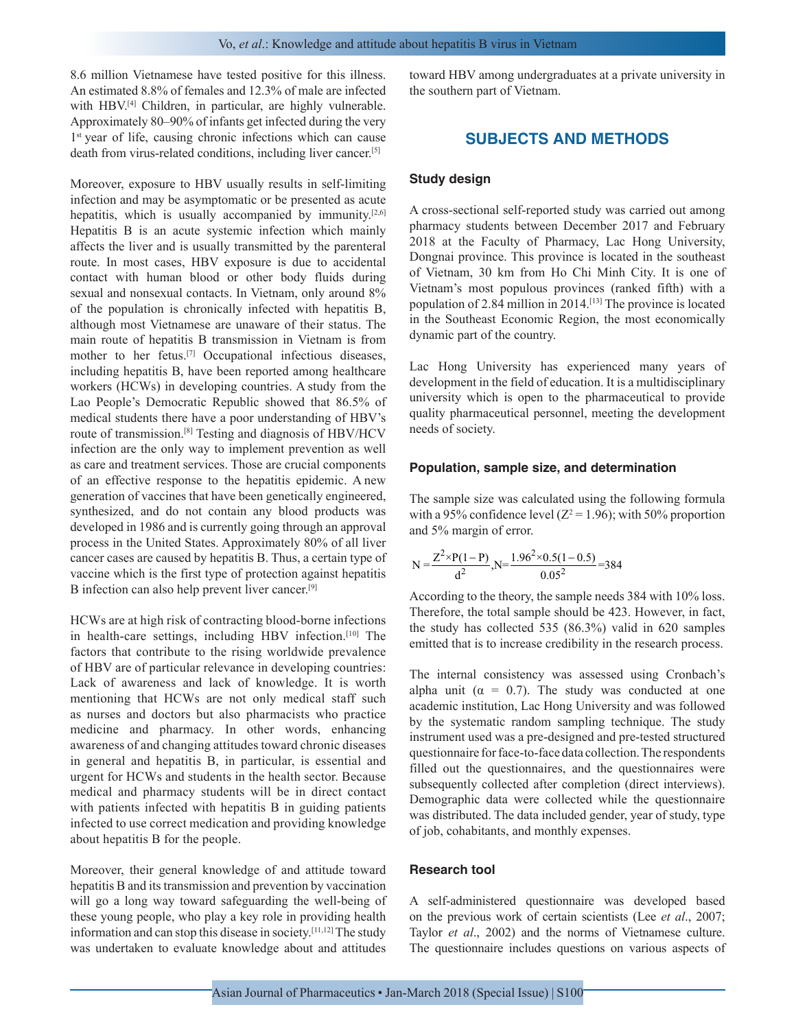8.6 million Vietnamese have tested positive for this illness. An estimated 8.8% of females and 12.3% of male are infected with HBV.<sup>[4]</sup> Children, in particular, are highly vulnerable. Approximately 80–90% of infants get infected during the very 1<sup>st</sup> year of life, causing chronic infections which can cause death from virus-related conditions, including liver cancer.[5]

Moreover, exposure to HBV usually results in self-limiting infection and may be asymptomatic or be presented as acute hepatitis, which is usually accompanied by immunity.<sup>[2,6]</sup> Hepatitis B is an acute systemic infection which mainly affects the liver and is usually transmitted by the parenteral route. In most cases, HBV exposure is due to accidental contact with human blood or other body fluids during sexual and nonsexual contacts. In Vietnam, only around 8% of the population is chronically infected with hepatitis B, although most Vietnamese are unaware of their status. The main route of hepatitis B transmission in Vietnam is from mother to her fetus.[7] Occupational infectious diseases, including hepatitis B, have been reported among healthcare workers (HCWs) in developing countries. A study from the Lao People's Democratic Republic showed that 86.5% of medical students there have a poor understanding of HBV's route of transmission.[8] Testing and diagnosis of HBV/HCV infection are the only way to implement prevention as well as care and treatment services. Those are crucial components of an effective response to the hepatitis epidemic. A new generation of vaccines that have been genetically engineered, synthesized, and do not contain any blood products was developed in 1986 and is currently going through an approval process in the United States. Approximately 80% of all liver cancer cases are caused by hepatitis B. Thus, a certain type of vaccine which is the first type of protection against hepatitis B infection can also help prevent liver cancer.[9]

HCWs are at high risk of contracting blood-borne infections in health-care settings, including HBV infection.[10] The factors that contribute to the rising worldwide prevalence of HBV are of particular relevance in developing countries: Lack of awareness and lack of knowledge. It is worth mentioning that HCWs are not only medical staff such as nurses and doctors but also pharmacists who practice medicine and pharmacy. In other words, enhancing awareness of and changing attitudes toward chronic diseases in general and hepatitis B, in particular, is essential and urgent for HCWs and students in the health sector. Because medical and pharmacy students will be in direct contact with patients infected with hepatitis B in guiding patients infected to use correct medication and providing knowledge about hepatitis B for the people.

Moreover, their general knowledge of and attitude toward hepatitis B and its transmission and prevention by vaccination will go a long way toward safeguarding the well-being of these young people, who play a key role in providing health information and can stop this disease in society.[11,12] The study was undertaken to evaluate knowledge about and attitudes

toward HBV among undergraduates at a private university in the southern part of Vietnam.

## **SUBJECTS AND METHODS**

#### **Study design**

A cross-sectional self-reported study was carried out among pharmacy students between December 2017 and February 2018 at the Faculty of Pharmacy, Lac Hong University, Dongnai province. This province is located in the southeast of Vietnam, 30 km from Ho Chi Minh City. It is one of Vietnam's most populous provinces (ranked fifth) with a population of 2.84 million in 2014.[13] The province is located in the Southeast Economic Region, the most economically dynamic part of the country.

Lac Hong University has experienced many years of development in the field of education. It is a multidisciplinary university which is open to the pharmaceutical to provide quality pharmaceutical personnel, meeting the development needs of society.

#### **Population, sample size, and determination**

The sample size was calculated using the following formula with a 95% confidence level ( $Z^2 = 1.96$ ); with 50% proportion and 5% margin of error.

$$
N = \frac{Z^2 \times P(1 - P)}{d^2}, N = \frac{1.96^2 \times 0.5(1 - 0.5)}{0.05^2} = 384
$$

According to the theory, the sample needs 384 with 10% loss. Therefore, the total sample should be 423. However, in fact, the study has collected 535 (86.3%) valid in 620 samples emitted that is to increase credibility in the research process.

The internal consistency was assessed using Cronbach's alpha unit ( $\alpha = 0.7$ ). The study was conducted at one academic institution, Lac Hong University and was followed by the systematic random sampling technique. The study instrument used was a pre-designed and pre-tested structured questionnaire for face-to-face data collection. The respondents filled out the questionnaires, and the questionnaires were subsequently collected after completion (direct interviews). Demographic data were collected while the questionnaire was distributed. The data included gender, year of study, type of job, cohabitants, and monthly expenses.

#### **Research tool**

A self-administered questionnaire was developed based on the previous work of certain scientists (Lee *et al*., 2007; Taylor *et al*., 2002) and the norms of Vietnamese culture. The questionnaire includes questions on various aspects of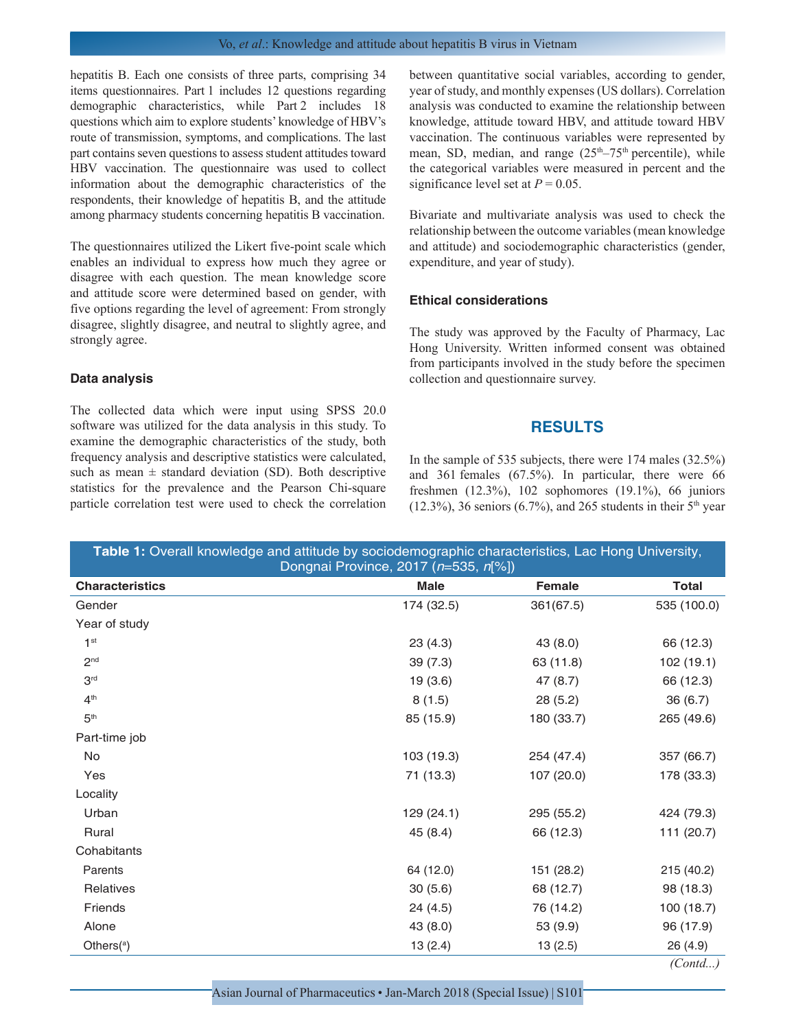hepatitis B. Each one consists of three parts, comprising 34 items questionnaires. Part 1 includes 12 questions regarding demographic characteristics, while Part 2 includes 18 questions which aim to explore students' knowledge of HBV's route of transmission, symptoms, and complications. The last part contains seven questions to assess student attitudes toward HBV vaccination. The questionnaire was used to collect information about the demographic characteristics of the respondents, their knowledge of hepatitis B, and the attitude among pharmacy students concerning hepatitis B vaccination.

The questionnaires utilized the Likert five-point scale which enables an individual to express how much they agree or disagree with each question. The mean knowledge score and attitude score were determined based on gender, with five options regarding the level of agreement: From strongly disagree, slightly disagree, and neutral to slightly agree, and strongly agree.

#### **Data analysis**

The collected data which were input using SPSS 20.0 software was utilized for the data analysis in this study. To examine the demographic characteristics of the study, both frequency analysis and descriptive statistics were calculated, such as mean  $\pm$  standard deviation (SD). Both descriptive statistics for the prevalence and the Pearson Chi-square particle correlation test were used to check the correlation between quantitative social variables, according to gender, year of study, and monthly expenses (US dollars). Correlation analysis was conducted to examine the relationship between knowledge, attitude toward HBV, and attitude toward HBV vaccination. The continuous variables were represented by mean, SD, median, and range  $(25<sup>th</sup>-75<sup>th</sup>$  percentile), while the categorical variables were measured in percent and the significance level set at  $P = 0.05$ .

Bivariate and multivariate analysis was used to check the relationship between the outcome variables (mean knowledge and attitude) and sociodemographic characteristics (gender, expenditure, and year of study).

#### **Ethical considerations**

The study was approved by the Faculty of Pharmacy, Lac Hong University. Written informed consent was obtained from participants involved in the study before the specimen collection and questionnaire survey.

### **RESULTS**

In the sample of 535 subjects, there were 174 males (32.5%) and 361 females (67.5%). In particular, there were 66 freshmen (12.3%), 102 sophomores (19.1%), 66 juniors  $(12.3\%)$ , 36 seniors  $(6.7\%)$ , and 265 students in their 5<sup>th</sup> year

| Table 1: Overall knowledge and attitude by sociodemographic characteristics, Lac Hong University, | Dongnai Province, 2017 (n=535, n[%]) |               |              |
|---------------------------------------------------------------------------------------------------|--------------------------------------|---------------|--------------|
| <b>Characteristics</b>                                                                            | <b>Male</b>                          | <b>Female</b> | <b>Total</b> |
| Gender                                                                                            | 174 (32.5)                           | 361(67.5)     | 535 (100.0)  |
| Year of study                                                                                     |                                      |               |              |
| 1 <sup>st</sup>                                                                                   | 23(4.3)                              | 43 (8.0)      | 66 (12.3)    |
| 2 <sub>nd</sub>                                                                                   | 39(7.3)                              | 63 (11.8)     | 102 (19.1)   |
| 3 <sup>rd</sup>                                                                                   | 19(3.6)                              | 47(8.7)       | 66 (12.3)    |
| 4 <sup>th</sup>                                                                                   | 8(1.5)                               | 28 (5.2)      | 36(6.7)      |
| 5 <sup>th</sup>                                                                                   | 85 (15.9)                            | 180 (33.7)    | 265 (49.6)   |
| Part-time job                                                                                     |                                      |               |              |
| No                                                                                                | 103 (19.3)                           | 254 (47.4)    | 357 (66.7)   |
| Yes                                                                                               | 71 (13.3)                            | 107 (20.0)    | 178 (33.3)   |
| Locality                                                                                          |                                      |               |              |
| Urban                                                                                             | 129 (24.1)                           | 295 (55.2)    | 424 (79.3)   |
| Rural                                                                                             | 45 (8.4)                             | 66 (12.3)     | 111 (20.7)   |
| Cohabitants                                                                                       |                                      |               |              |
| Parents                                                                                           | 64 (12.0)                            | 151 (28.2)    | 215 (40.2)   |
| Relatives                                                                                         | 30(5.6)                              | 68 (12.7)     | 98 (18.3)    |
| Friends                                                                                           | 24 (4.5)                             | 76 (14.2)     | 100(18.7)    |
| Alone                                                                                             | 43 (8.0)                             | 53 (9.9)      | 96 (17.9)    |
| Others $(^{a})$                                                                                   | 13(2.4)                              | 13(2.5)       | 26 (4.9)     |
|                                                                                                   |                                      |               | (Cond)       |

Asian Journal of Pharmaceutics • Jan-March 2018 (Special Issue) | S101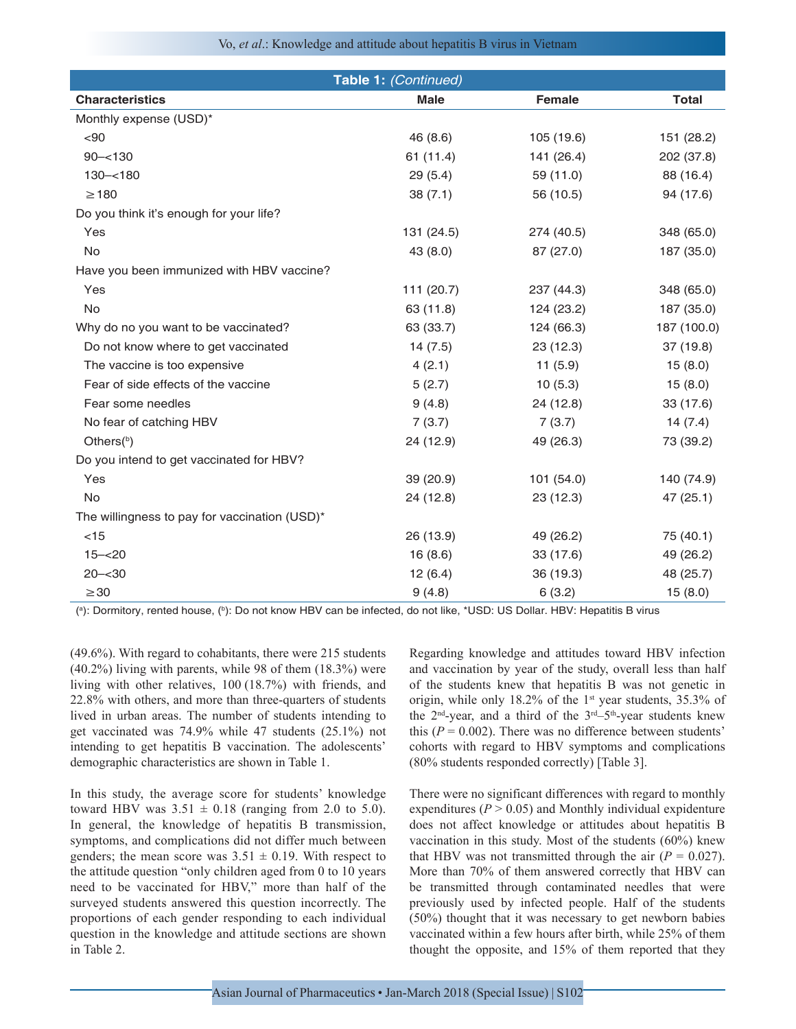Vo, *et al*.: Knowledge and attitude about hepatitis B virus in Vietnam

|                                               | Table 1: (Continued) |            |              |
|-----------------------------------------------|----------------------|------------|--------------|
| <b>Characteristics</b>                        | <b>Male</b>          | Female     | <b>Total</b> |
| Monthly expense (USD)*                        |                      |            |              |
| < 90                                          | 46 (8.6)             | 105 (19.6) | 151 (28.2)   |
| $90 - 130$                                    | 61 (11.4)            | 141 (26.4) | 202 (37.8)   |
| $130 - 180$                                   | 29(5.4)              | 59 (11.0)  | 88 (16.4)    |
| $\geq$ 180                                    | 38(7.1)              | 56 (10.5)  | 94 (17.6)    |
| Do you think it's enough for your life?       |                      |            |              |
| Yes                                           | 131 (24.5)           | 274 (40.5) | 348 (65.0)   |
| No                                            | 43 (8.0)             | 87 (27.0)  | 187 (35.0)   |
| Have you been immunized with HBV vaccine?     |                      |            |              |
| Yes                                           | 111 (20.7)           | 237 (44.3) | 348 (65.0)   |
| No                                            | 63 (11.8)            | 124 (23.2) | 187 (35.0)   |
| Why do no you want to be vaccinated?          | 63 (33.7)            | 124 (66.3) | 187 (100.0)  |
| Do not know where to get vaccinated           | 14(7.5)              | 23(12.3)   | 37 (19.8)    |
| The vaccine is too expensive                  | 4(2.1)               | 11(5.9)    | 15(8.0)      |
| Fear of side effects of the vaccine           | 5(2.7)               | 10(5.3)    | 15(8.0)      |
| Fear some needles                             | 9(4.8)               | 24 (12.8)  | 33 (17.6)    |
| No fear of catching HBV                       | 7(3.7)               | 7(3.7)     | 14(7.4)      |
| Others <sup>(b)</sup>                         | 24 (12.9)            | 49 (26.3)  | 73 (39.2)    |
| Do you intend to get vaccinated for HBV?      |                      |            |              |
| Yes                                           | 39 (20.9)            | 101 (54.0) | 140 (74.9)   |
| No                                            | 24 (12.8)            | 23 (12.3)  | 47 (25.1)    |
| The willingness to pay for vaccination (USD)* |                      |            |              |
| $<$ 15                                        | 26 (13.9)            | 49 (26.2)  | 75 (40.1)    |
| $15 - 20$                                     | 16(8.6)              | 33 (17.6)  | 49 (26.2)    |
| $20 - 30$                                     | 12(6.4)              | 36 (19.3)  | 48 (25.7)    |
| $\geq$ 30                                     | 9(4.8)               | 6(3.2)     | 15(8.0)      |

(ª): Dormitory, rented house, (ʰ): Do not know HBV can be infected, do not like, \*USD: US Dollar. HBV: Hepatitis B virus

(49.6%). With regard to cohabitants, there were 215 students (40.2%) living with parents, while 98 of them (18.3%) were living with other relatives, 100 (18.7%) with friends, and 22.8% with others, and more than three-quarters of students lived in urban areas. The number of students intending to get vaccinated was 74.9% while 47 students (25.1%) not intending to get hepatitis B vaccination. The adolescents' demographic characteristics are shown in Table 1.

In this study, the average score for students' knowledge toward HBV was  $3.51 \pm 0.18$  (ranging from 2.0 to 5.0). In general, the knowledge of hepatitis B transmission, symptoms, and complications did not differ much between genders; the mean score was  $3.51 \pm 0.19$ . With respect to the attitude question "only children aged from 0 to 10 years need to be vaccinated for HBV," more than half of the surveyed students answered this question incorrectly. The proportions of each gender responding to each individual question in the knowledge and attitude sections are shown in Table 2.

Regarding knowledge and attitudes toward HBV infection and vaccination by year of the study, overall less than half of the students knew that hepatitis B was not genetic in origin, while only 18.2% of the 1<sup>st</sup> year students, 35.3% of the  $2<sup>nd</sup>$ -year, and a third of the  $3<sup>rd</sup>-5<sup>th</sup>$ -year students knew this  $(P = 0.002)$ . There was no difference between students' cohorts with regard to HBV symptoms and complications (80% students responded correctly) [Table 3].

There were no significant differences with regard to monthly expenditures  $(P > 0.05)$  and Monthly individual expidenture does not affect knowledge or attitudes about hepatitis B vaccination in this study. Most of the students (60%) knew that HBV was not transmitted through the air  $(P = 0.027)$ . More than 70% of them answered correctly that HBV can be transmitted through contaminated needles that were previously used by infected people. Half of the students (50%) thought that it was necessary to get newborn babies vaccinated within a few hours after birth, while 25% of them thought the opposite, and 15% of them reported that they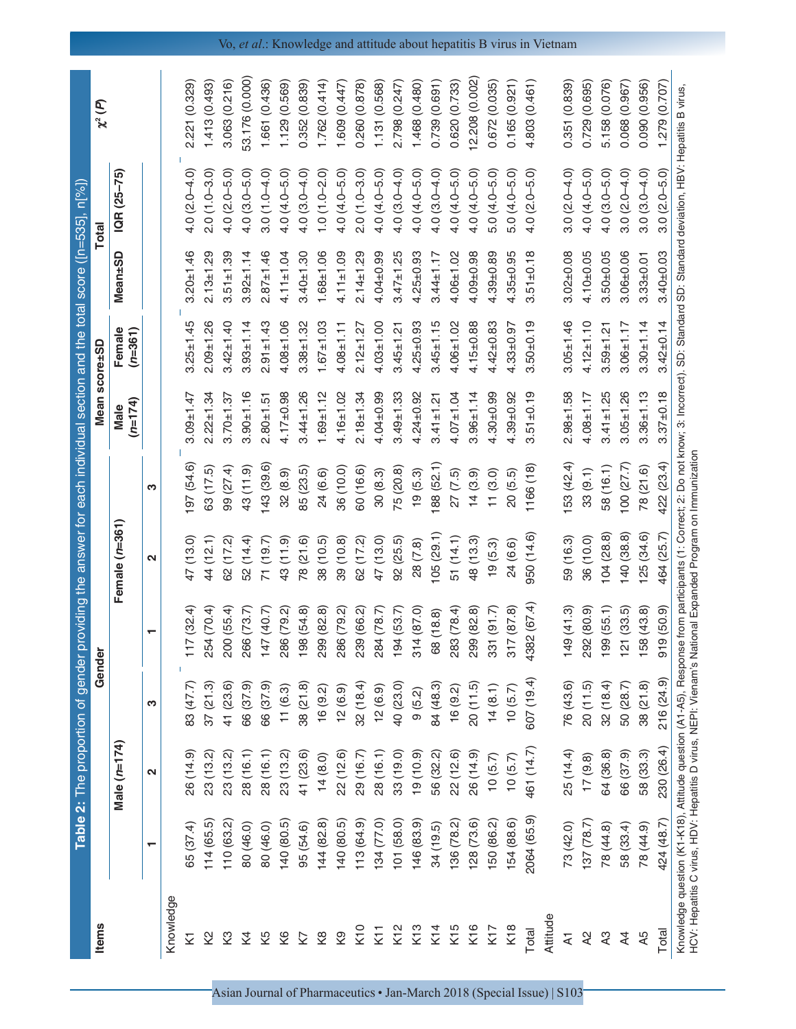Table 2: The proportion of gender providing the answer for each individual section and the total score ([n=535], n[%]) **Table 2:** The proportion of gender providing the answer for each individual section and the total score ([n=535], n[%]) **Items Gender Mean score±SD Total** Mean score±SD Gender

Items

χ**2 (** *P***)**

Total

|                            |             | Male (n=174)  |            |                                                                                                          | Female (n=361)    |            | $(n=174)$<br>Male | Female<br>(n=361) | <b>Mean±SD</b>      | IQR (25–75)                                                                                                                                                                                 |                |
|----------------------------|-------------|---------------|------------|----------------------------------------------------------------------------------------------------------|-------------------|------------|-------------------|-------------------|---------------------|---------------------------------------------------------------------------------------------------------------------------------------------------------------------------------------------|----------------|
|                            | ↽           | N             | က          |                                                                                                          | $\mathbf{\Omega}$ | က          |                   |                   |                     |                                                                                                                                                                                             |                |
| Knowledge                  |             |               |            |                                                                                                          |                   |            |                   |                   |                     |                                                                                                                                                                                             |                |
| 2                          | 65 (37.4)   | 26 (14.9)     | 83 (47.7)  | 117(32.4)                                                                                                | 47 (13.0)         | 197 (54.6) | $3.09 + 1.47$     | $3.25 \pm 1.45$   | $3.20 + 1.46$       | $4.0(2.0 - 4.0)$                                                                                                                                                                            | 2.221 (0.329)  |
| 2                          | 114(65.5)   | 23 (13.2)     | 37(21.3)   | 254 (70.4)                                                                                               | 44 (12.1)         | 63 (17.5)  | $2.22 \pm 1.34$   | $2.09 + 1.26$     | $2.13 \pm 1.29$     | $2.0(1.0-3.0)$                                                                                                                                                                              | 1.413(0.493)   |
| 3                          | 110 (63.2)  | 23 (13.2)     | 41 (23.6)  | 200 (55.4)                                                                                               | 62 (17.2)         | 99 (27.4)  | $3.70 + 1.37$     | $3.42 \pm 1.40$   | $3.51 \pm 1.39$     | $4.0(2.0 - 5.0)$                                                                                                                                                                            | 3.063 (0.216)  |
| Σ4                         | 80 (46.0)   | 28 (16.1)     | 66 (37.9)  | 266 (73.7)                                                                                               | 52 (14.4)         | 43 (11.9)  | $3.90 \pm 1.16$   | $3.93 \pm 1.14$   | $3.92 \pm 1.14$     | $4.0(3.0 - 5.0)$                                                                                                                                                                            | 53.176 (0.000) |
| Κ5                         | 80 (46.0)   | 28 (16.1)     | 66 (37.9)  | 147 (40.7)                                                                                               | 71 (19.7)         | 143(39.6)  | $2.80 + 1.51$     | $2.91 \pm 1.43$   | $2.87 \pm 1.46$     | $3.0(1.0-4.0)$                                                                                                                                                                              | 1.661 (0.436)  |
| 8                          | 140 (80.5)  | 23 (13.2)     | 11(6.3)    | 286 (79.2)                                                                                               | 43 (11.9)         | 32(8.9)    | $4.17 \pm 0.98$   | $4.08 + 1.06$     | $4.11 \pm 1.04$     | $4.0(4.0 - 5.0)$                                                                                                                                                                            | 1.129 (0.569)  |
| Z)                         | 95 (54.6)   | 41 (23.6)     | 38 (21.8)  | 98 (54.8)                                                                                                | 78 (21.6)         | 85 (23.5)  | $3.44 \pm 1.26$   | $3.38 + 1.32$     | $3.40 + 1.30$       | $4.0(3.0 - 4.0)$                                                                                                                                                                            | 0.352 (0.839)  |
| $\frac{8}{2}$              | 144(82.8)   | 14(8.0)       | 16(9.2)    | 299 (82.8)                                                                                               | 38 (10.5)         | 24 (6.6)   | $1.69 + 1.12$     | $1.67 \pm 1.03$   | $1.68 + 1.06$       | $1.0(1.0-2.0)$                                                                                                                                                                              | 1.762(0.414)   |
| Q                          | 140 (80.5)  | 22 (12.6)     | 12(6.9)    | 286 (79.2)                                                                                               | 39 (10.8)         | 36 (10.0)  | $4.16 + 1.02$     | $4.08 + 1.11$     | $4.11 \pm 1.09$     | $4.0(4.0 - 5.0)$                                                                                                                                                                            | 1.609 (0.447)  |
| K10                        | 113 (64.9)  | 29 (16.7)     | 32(18.4)   | 239 (66.2)                                                                                               | 62 (17.2)         | 60 (16.6)  | $2.18 + 1.34$     | $2.12 \pm 1.27$   | $2.14 \pm 1.29$     | $2.0(1.0-3.0)$                                                                                                                                                                              | 0.260 (0.878)  |
| K11                        | 134 (77.0)  | 28 (16.1)     | 12(6.9)    | 284 (78.7)                                                                                               | 47 (13.0)         | 30(8.3)    | $4.04 \pm 0.99$   | $4.03 + 1.00$     | $4.04 \pm 0.99$     | $4.0(4.0 - 5.0)$                                                                                                                                                                            | 1.131 (0.568)  |
| K12                        | 101 (58.0)  | 33 (19.0)     | 40 (23.0)  | 194(53.7)                                                                                                | 92(25.5)          | 75 (20.8)  | $3.49 \pm 1.33$   | $3.45 \pm 1.21$   | $3.47 \pm 1.25$     | $4.0(3.0 - 4.0)$                                                                                                                                                                            | 2.798 (0.247)  |
| K13                        | 146 (83.9)  | $(0.01)$ $61$ | 9(5.2)     | 314 (87.0)                                                                                               | 28 (7.8)          | 19(5.3)    | $4.24 \pm 0.92$   | $4.25 \pm 0.93$   | $4.25 \pm 0.93$     | $4.0(4.0 - 5.0)$                                                                                                                                                                            | 1.468 (0.480)  |
| K14                        | 34(19.5)    | 56 (32.2)     | 84 (48.3)  | 68 (18.8)                                                                                                | 105(29.1)         | 188 (52.1) | $3.41 \pm 1.21$   | $3.45 \pm 1.15$   | $3.44 \pm 1.17$     | $4.0(3.0 - 4.0)$                                                                                                                                                                            | 0.739 (0.691)  |
| K15                        | 136 (78.2)  | 22 (12.6)     | 16(9.2)    | 283 (78.4)                                                                                               | 51 (14.1)         | 27(7.5)    | $4.07 + 1.04$     | $4.06 \pm 1.02$   | $4.06 + 1.02$       | $4.0(4.0 - 5.0)$                                                                                                                                                                            | 0.620 (0.733)  |
| K16                        | 128(73.6)   | 26 (14.9)     | 20(11.5)   | 299 (82.8)                                                                                               | 48 (13.3)         | 14(3.9)    | $3.96 \pm 1.14$   | $4.15 \pm 0.88$   | $4.09 + 0.98$       | $4.0(4.0 - 5.0)$                                                                                                                                                                            | 2.208 (0.002)  |
| K17                        | 50 (86.2)   | 10(5.7)       | 14(8.1)    | 331 (91.7)                                                                                               | 19(5.3)           | 11(3.0)    | $4.30 \pm 0.99$   | $4.42 \pm 0.83$   | $.39 + 0.89$        | $5.0(4.0 - 5.0)$                                                                                                                                                                            | 0.672 (0.035)  |
| K18                        | 154 (88.6)  | 10(5.7)       | 10(5.7)    | 817 (87.8)                                                                                               | 24 (6.6)          | 20(5.5)    | $4.39 + 0.92$     | $4.33 \pm 0.97$   | $4.35 + 0.95$       | $5.0(4.0 - 5.0)$                                                                                                                                                                            | 0.165(0.921)   |
| Total                      | 2064 (65.9) | 461 (14.7)    | 607 (19.4) | 4382 (67.4)                                                                                              | 950 (14.6)        | 1166 (18)  | $51 + 0.19$<br>က် | $3.50 \pm 0.19$   | $.51 \pm 0.18$<br>က | $4.0(2.0 - 5.0)$                                                                                                                                                                            | 4.803 (0.461)  |
| Attitude                   |             |               |            |                                                                                                          |                   |            |                   |                   |                     |                                                                                                                                                                                             |                |
| $\overline{\mathbf{z}}$    | 73 (42.0)   | 25 (14.4)     | 76 (43.6)  | 149(41.3)                                                                                                | 59 (16.3)         | 153 (42.4) | $2.98 \pm 1.58$   | $3.05 \pm 1.46$   | $3.02 \pm 0.08$     | $3.0(2.0-4.0)$                                                                                                                                                                              | 0.351 (0.839)  |
| 58                         | 137 (78.7)  | 17(9.8)       | 20(11.5)   | 292 (80.9)                                                                                               | 36 (10.0)         | 33(9.1)    | $4.08 + 1.17$     | $4.12 \pm 1.10$   | $4.10 + 0.05$       | $4.0(4.0 - 5.0)$                                                                                                                                                                            | 0.729 (0.695)  |
| $\boldsymbol{\mathcal{A}}$ | 78 (44.8)   | 64 (36.8)     | 32(18.4)   | 99 (55.1)                                                                                                | 104(28.8)         | 58 (16.1)  | $3.41 \pm 1.25$   | $3.59 \pm 1.21$   | $3.50 \pm 0.05$     | $4.0(3.0 - 5.0)$                                                                                                                                                                            | 5.158 (0.076)  |
| $\overline{4}$             | 58 (33.4)   | 66 (37.9)     | 50 (28.7)  | 21 (33.5)                                                                                                | 140(38.8)         | 100(27.7)  | $3.05 \pm 1.26$   | $3.06 \pm 1.17$   | $3.06 + 0.06$       | $3.0(2.0 - 4.0)$                                                                                                                                                                            | 0.068(0.967)   |
| ĄБ                         | 78 (44.9)   | 58 (33.3)     | 38(21.8)   | 58 (43.8)                                                                                                | 25 (34.6)         | 78 (21.6)  | $3.36 + 1.13$     | $3.30 + 1.14$     | $3.33 + 0.01$       | $3.0(3.0-4.0)$                                                                                                                                                                              | 0.090 (0.956)  |
| Total                      | 424 (48.7)  | 230 (26.4)    | 216 (24.9) | 919 (50.9)                                                                                               | 464 (25.7)        | 422 (23.4) | $3.37 + 0.18$     | $3.42 \pm 0.14$   | $3.40 \pm 0.03$     | $3.0(2.0 - 5.0)$                                                                                                                                                                            | 1.279 (0.707)  |
|                            |             |               |            | HCV: Hepatitis C virus, HDV: Hepatitis D virus, NEPI: Vienam's National Expanded Program on Immunization |                   |            |                   |                   |                     | Knowledge question (K1-K18), Attitude question (A1-A5), Response from participants (1: Correct; 2: Do not know; 3: Incorrect). SD: Standard SD: Standard deviation, HBV: Hepatitis B virus, |                |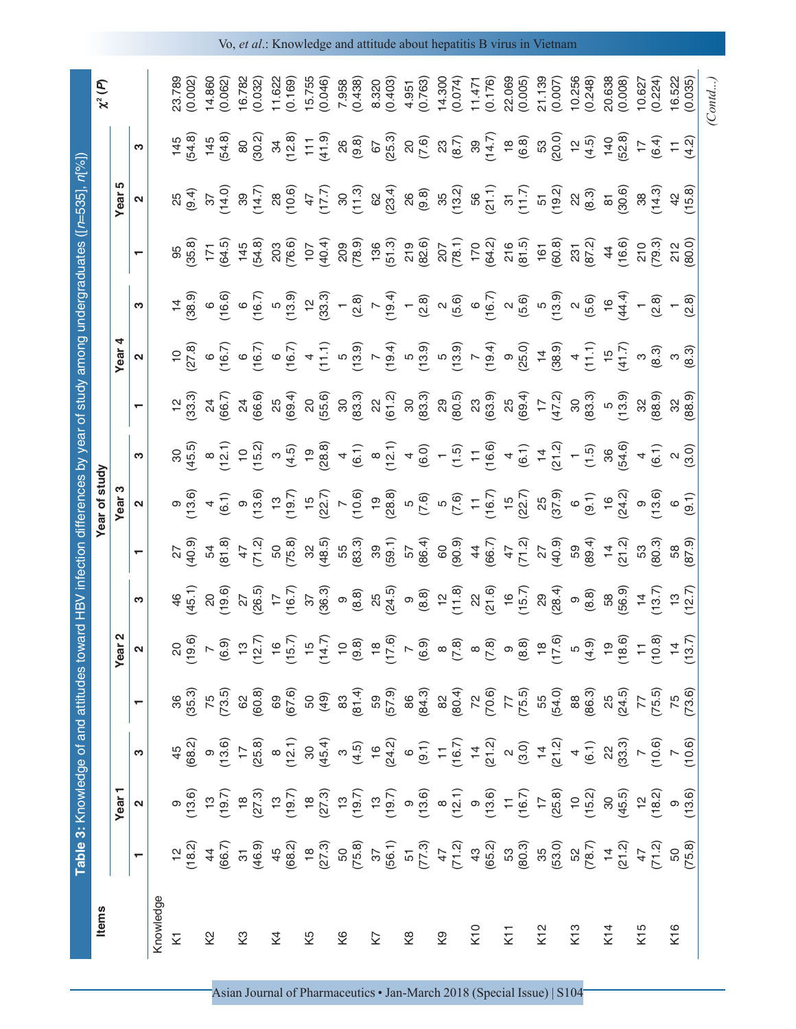|                         |                                                                                                                                                                                                                                                                                                                                                              | Table 3: Knowledge of and attitudes tow                                                                                                                                                                                                                                                                                                                                                                                                          |                                                                                                                                                                                                                                                                                                                                                                                                                                             |                                                                                                                                                                                                                                                                                                                                                                                                                                                                                               |                                                                                                                                                                                                                                                                                                                                                              |                           |                                                                 |                                                                                       |                                   |                                                                                                                                                                                                                                                                                                      |                 |                                                                                                                                                                                                                                                                                                                                                                                                  |                                                                                                                                                                                                                                                                                                                                     |                                                                             |                                                |                   |
|-------------------------|--------------------------------------------------------------------------------------------------------------------------------------------------------------------------------------------------------------------------------------------------------------------------------------------------------------------------------------------------------------|--------------------------------------------------------------------------------------------------------------------------------------------------------------------------------------------------------------------------------------------------------------------------------------------------------------------------------------------------------------------------------------------------------------------------------------------------|---------------------------------------------------------------------------------------------------------------------------------------------------------------------------------------------------------------------------------------------------------------------------------------------------------------------------------------------------------------------------------------------------------------------------------------------|-----------------------------------------------------------------------------------------------------------------------------------------------------------------------------------------------------------------------------------------------------------------------------------------------------------------------------------------------------------------------------------------------------------------------------------------------------------------------------------------------|--------------------------------------------------------------------------------------------------------------------------------------------------------------------------------------------------------------------------------------------------------------------------------------------------------------------------------------------------------------|---------------------------|-----------------------------------------------------------------|---------------------------------------------------------------------------------------|-----------------------------------|------------------------------------------------------------------------------------------------------------------------------------------------------------------------------------------------------------------------------------------------------------------------------------------------------|-----------------|--------------------------------------------------------------------------------------------------------------------------------------------------------------------------------------------------------------------------------------------------------------------------------------------------------------------------------------------------------------------------------------------------|-------------------------------------------------------------------------------------------------------------------------------------------------------------------------------------------------------------------------------------------------------------------------------------------------------------------------------------|-----------------------------------------------------------------------------|------------------------------------------------|-------------------|
| <b>Items</b>            |                                                                                                                                                                                                                                                                                                                                                              | Year <sub>1</sub>                                                                                                                                                                                                                                                                                                                                                                                                                                |                                                                                                                                                                                                                                                                                                                                                                                                                                             |                                                                                                                                                                                                                                                                                                                                                                                                                                                                                               | N<br>Year                                                                                                                                                                                                                                                                                                                                                    |                           |                                                                 | rear of study<br>Year <sub>3</sub>                                                    |                                   |                                                                                                                                                                                                                                                                                                      | Year            |                                                                                                                                                                                                                                                                                                                                                                                                  |                                                                                                                                                                                                                                                                                                                                     | <u>က</u><br>Year                                                            |                                                | $\chi^2(P)$       |
|                         |                                                                                                                                                                                                                                                                                                                                                              | $\boldsymbol{\mathsf{N}}$                                                                                                                                                                                                                                                                                                                                                                                                                        | S                                                                                                                                                                                                                                                                                                                                                                                                                                           |                                                                                                                                                                                                                                                                                                                                                                                                                                                                                               |                                                                                                                                                                                                                                                                                                                                                              | ო                         |                                                                 |                                                                                       | S                                 |                                                                                                                                                                                                                                                                                                      |                 | က                                                                                                                                                                                                                                                                                                                                                                                                | ↽                                                                                                                                                                                                                                                                                                                                   |                                                                             | S                                              |                   |
| Knowledge               |                                                                                                                                                                                                                                                                                                                                                              |                                                                                                                                                                                                                                                                                                                                                                                                                                                  |                                                                                                                                                                                                                                                                                                                                                                                                                                             |                                                                                                                                                                                                                                                                                                                                                                                                                                                                                               |                                                                                                                                                                                                                                                                                                                                                              |                           |                                                                 |                                                                                       |                                   |                                                                                                                                                                                                                                                                                                      |                 |                                                                                                                                                                                                                                                                                                                                                                                                  |                                                                                                                                                                                                                                                                                                                                     |                                                                             |                                                |                   |
| $\overline{\mathsf{x}}$ | $12 \over 18.2$                                                                                                                                                                                                                                                                                                                                              |                                                                                                                                                                                                                                                                                                                                                                                                                                                  | $45$<br>(68.2)                                                                                                                                                                                                                                                                                                                                                                                                                              | $36^{36}$                                                                                                                                                                                                                                                                                                                                                                                                                                                                                     | <u>လို ဓုံ</u>                                                                                                                                                                                                                                                                                                                                               | 46.1                      |                                                                 |                                                                                       | $30^{45.5}$                       | $12^{2}$<br>33.3)                                                                                                                                                                                                                                                                                    | $\overline{C}$  | $14$<br>38.9                                                                                                                                                                                                                                                                                                                                                                                     | 95<br>35.8)                                                                                                                                                                                                                                                                                                                         |                                                                             | 145                                            | 23.789            |
|                         |                                                                                                                                                                                                                                                                                                                                                              |                                                                                                                                                                                                                                                                                                                                                                                                                                                  |                                                                                                                                                                                                                                                                                                                                                                                                                                             |                                                                                                                                                                                                                                                                                                                                                                                                                                                                                               |                                                                                                                                                                                                                                                                                                                                                              |                           | 40.9                                                            | 13.6                                                                                  |                                   |                                                                                                                                                                                                                                                                                                      | 27.8            |                                                                                                                                                                                                                                                                                                                                                                                                  |                                                                                                                                                                                                                                                                                                                                     | (9.4)                                                                       | 54.8                                           | (0.002)           |
| $\mathcal{Q}$           |                                                                                                                                                                                                                                                                                                                                                              |                                                                                                                                                                                                                                                                                                                                                                                                                                                  |                                                                                                                                                                                                                                                                                                                                                                                                                                             |                                                                                                                                                                                                                                                                                                                                                                                                                                                                                               |                                                                                                                                                                                                                                                                                                                                                              | 20<br>19.6                | 81.8<br>54                                                      | (6.1)                                                                                 | $\frac{8}{12}$                    | $\frac{24}{66.7}$                                                                                                                                                                                                                                                                                    | $6\frac{6}{16}$ | 16.6)<br>$\circ$                                                                                                                                                                                                                                                                                                                                                                                 | $171$<br>$(64.5)$                                                                                                                                                                                                                                                                                                                   | $\frac{37}{14.0}$                                                           | (54.8)<br>145                                  | 14.860<br>0.062   |
| ζ3                      |                                                                                                                                                                                                                                                                                                                                                              |                                                                                                                                                                                                                                                                                                                                                                                                                                                  |                                                                                                                                                                                                                                                                                                                                                                                                                                             |                                                                                                                                                                                                                                                                                                                                                                                                                                                                                               |                                                                                                                                                                                                                                                                                                                                                              |                           | 47                                                              |                                                                                       | 15.2                              |                                                                                                                                                                                                                                                                                                      |                 | $\circ$                                                                                                                                                                                                                                                                                                                                                                                          |                                                                                                                                                                                                                                                                                                                                     |                                                                             | $\rm 80$                                       | 16.782            |
|                         |                                                                                                                                                                                                                                                                                                                                                              |                                                                                                                                                                                                                                                                                                                                                                                                                                                  |                                                                                                                                                                                                                                                                                                                                                                                                                                             |                                                                                                                                                                                                                                                                                                                                                                                                                                                                                               |                                                                                                                                                                                                                                                                                                                                                              | $27$<br>$26.5$ )          | 71.2                                                            | ၈ <u>(</u><br>၁ (၁)                                                                   |                                   | 24<br>66.6)                                                                                                                                                                                                                                                                                          | $6\frac{6}{16}$ | 16.7                                                                                                                                                                                                                                                                                                                                                                                             | $145$<br>$(54.8)$                                                                                                                                                                                                                                                                                                                   |                                                                             | (30.2)                                         | (0.032)           |
| ξ4                      |                                                                                                                                                                                                                                                                                                                                                              |                                                                                                                                                                                                                                                                                                                                                                                                                                                  |                                                                                                                                                                                                                                                                                                                                                                                                                                             |                                                                                                                                                                                                                                                                                                                                                                                                                                                                                               |                                                                                                                                                                                                                                                                                                                                                              | $17$<br>$16.7$<br>$36.3$  | 50<br>75.8)                                                     | $\frac{1}{2}$                                                                         | $\infty$                          | 25                                                                                                                                                                                                                                                                                                   | $6\over 16.7$   |                                                                                                                                                                                                                                                                                                                                                                                                  | 203<br>(76.6)<br>107<br>(40.4)                                                                                                                                                                                                                                                                                                      | $\begin{array}{c} 39 \\ (14.7) \\ 28 \\ (10.6) \\ 47 \\ (17.7) \end{array}$ | (12.8)<br>ಜ                                    | 11.622<br>(0.169) |
| Κ5                      |                                                                                                                                                                                                                                                                                                                                                              |                                                                                                                                                                                                                                                                                                                                                                                                                                                  |                                                                                                                                                                                                                                                                                                                                                                                                                                             |                                                                                                                                                                                                                                                                                                                                                                                                                                                                                               |                                                                                                                                                                                                                                                                                                                                                              |                           | $32^{48.5}$                                                     | $19.7$<br>$15$<br>$22.7$                                                              | $(4.5)$<br>$19.80$<br>$78.8$      |                                                                                                                                                                                                                                                                                                      |                 | (13.9)                                                                                                                                                                                                                                                                                                                                                                                           |                                                                                                                                                                                                                                                                                                                                     |                                                                             | (6.11                                          | 15.755            |
|                         |                                                                                                                                                                                                                                                                                                                                                              |                                                                                                                                                                                                                                                                                                                                                                                                                                                  |                                                                                                                                                                                                                                                                                                                                                                                                                                             |                                                                                                                                                                                                                                                                                                                                                                                                                                                                                               |                                                                                                                                                                                                                                                                                                                                                              |                           |                                                                 |                                                                                       |                                   |                                                                                                                                                                                                                                                                                                      |                 | (33.3)                                                                                                                                                                                                                                                                                                                                                                                           |                                                                                                                                                                                                                                                                                                                                     |                                                                             |                                                | (0.046)           |
| K6                      | $460\atop{+60}{\times}5\atop{+60}{\times}60\atop{+60}{\times}60\atop{+60}{\times}5\atop{+60}{\times}5\atop{+60}{\times}5\atop{+60}{\times}5\atop{+60}{\times}5\atop{+60}{\times}5\atop{+60}{\times}5\atop{+60}{\times}5\atop{+60}{\times}5\atop{+60}{\times}5\atop{+60}{\times}5\atop{+60}{\times}5\atop{+60}{\times}5\atop{+60}{\times}5\atop{+60}{\times}$ | $\begin{array}{c} \mathfrak{d}_{\mathbb{C}}\oplus\mathfrak{d}_{\mathbb{C}}\oplus\mathfrak{d}_{\mathbb{C}}\oplus\mathfrak{d}_{\mathbb{C}}\oplus\mathfrak{d}_{\mathbb{C}}\oplus\mathfrak{d}_{\mathbb{C}}\oplus\mathfrak{d}_{\mathbb{C}}\oplus\mathfrak{d}_{\mathbb{C}}\oplus\mathfrak{d}_{\mathbb{C}}\oplus\mathfrak{d}_{\mathbb{C}}\oplus\mathfrak{d}_{\mathbb{C}}\oplus\mathfrak{d}_{\mathbb{C}}\oplus\mathfrak{d}_{\mathbb{C}}\oplus\mathfrak{$ | $\begin{array}{l} 9\, \stackrel{.6}{\phantom{.}}\, \stackrel{.6}{\phantom{.}}\, \stackrel{.6}{\phantom{.}}\, \stackrel{.6}{\phantom{.}}\, \stackrel{.6}{\phantom{.}}\, \stackrel{.6}{\phantom{.}}\, \stackrel{.6}{\phantom{.}}\, \stackrel{.6}{\phantom{.}}\, \stackrel{.6}{\phantom{.}}\, \stackrel{.6}{\phantom{.}}\, \stackrel{.6}{\phantom{.}}\, \stackrel{.6}{\phantom{.}}\, \stackrel{.6}{\phantom{.}}\, \stackrel{.6}{\phantom{.}}\$ | $\begin{array}{l} \mathcal{R} \\ \mathcal{R} \\ \mathcal{R} \\ \mathcal{R} \\ \mathcal{R} \\ \mathcal{R} \\ \mathcal{R} \\ \mathcal{R} \\ \mathcal{R} \\ \mathcal{R} \\ \mathcal{R} \\ \mathcal{R} \\ \mathcal{R} \\ \mathcal{R} \\ \mathcal{R} \\ \mathcal{R} \\ \mathcal{R} \\ \mathcal{R} \\ \mathcal{R} \\ \mathcal{R} \\ \mathcal{R} \\ \mathcal{R} \\ \mathcal{R} \\ \mathcal{R} \\ \mathcal{R} \\ \mathcal{R} \\ \mathcal{R} \\ \mathcal{R} \\ \mathcal{R} \\ \mathcal{R} \\ \mathcal$ | $\begin{array}{rll} \n\sqrt{6} & \mbox{9} & \mbox{10} & \mbox{10} & \mbox{10} & \mbox{10} \\ \n\sqrt{6} & \mbox{10} & \mbox{10} & \mbox{10} & \mbox{10} & \mbox{10} \\ \n\sqrt{6} & \mbox{10} & \mbox{10} & \mbox{10} & \mbox{10} & \mbox{10} \\ \n\sqrt{6} & \mbox{10} & \mbox{10} & \mbox{10} & \mbox{10} & \mbox{10} \\ \n\sqrt{6} & \mbox{10} & \mbox{1$ | $\circ$                   | $\frac{55}{83.3}$                                               | (0.6)<br>$\mathord{\sim}$                                                             | $\overline{4}$                    | $\begin{array}{c} (69.4)\\ (69.6)\\ (69.6)\\ (69.6)\\ (69.6)\\ (69.6)\\ (69.6)\\ (69.6)\\ (69.6)\\ (69.6)\\ (69.6)\\ (69.6)\\ (69.6)\\ (69.6)\\ (69.6)\\ (69.6)\\ (69.6)\\ (69.6)\\ (69.6)\\ (69.6)\\ (69.6)\\ (69.6)\\ (69.6)\\ (69.6)\\ (69.6)\\ (69.6)\\ (69.6)\\ (69.6)\\ (69.6)\\ (69.6)\\ (69$ |                 | $\leftarrow$                                                                                                                                                                                                                                                                                                                                                                                     | 209<br>(78.9)                                                                                                                                                                                                                                                                                                                       | $30$<br>$(11.3)$                                                            | $\begin{pmatrix} 0 & 0 \\ 0 & 0 \end{pmatrix}$ | 7.958<br>(0.438)  |
| K7                      |                                                                                                                                                                                                                                                                                                                                                              |                                                                                                                                                                                                                                                                                                                                                                                                                                                  |                                                                                                                                                                                                                                                                                                                                                                                                                                             |                                                                                                                                                                                                                                                                                                                                                                                                                                                                                               |                                                                                                                                                                                                                                                                                                                                                              | $(8.8)$<br>$25$<br>$24.5$ |                                                                 | $\frac{19}{28.8}$                                                                     | $(6.1)$<br>$8$<br>$12.1$          |                                                                                                                                                                                                                                                                                                      |                 |                                                                                                                                                                                                                                                                                                                                                                                                  |                                                                                                                                                                                                                                                                                                                                     |                                                                             | 67<br>25.3)                                    | 8.320             |
|                         |                                                                                                                                                                                                                                                                                                                                                              |                                                                                                                                                                                                                                                                                                                                                                                                                                                  |                                                                                                                                                                                                                                                                                                                                                                                                                                             |                                                                                                                                                                                                                                                                                                                                                                                                                                                                                               |                                                                                                                                                                                                                                                                                                                                                              |                           |                                                                 |                                                                                       |                                   |                                                                                                                                                                                                                                                                                                      |                 |                                                                                                                                                                                                                                                                                                                                                                                                  |                                                                                                                                                                                                                                                                                                                                     |                                                                             |                                                | (0.403)           |
| $\frac{8}{2}$           |                                                                                                                                                                                                                                                                                                                                                              |                                                                                                                                                                                                                                                                                                                                                                                                                                                  |                                                                                                                                                                                                                                                                                                                                                                                                                                             |                                                                                                                                                                                                                                                                                                                                                                                                                                                                                               |                                                                                                                                                                                                                                                                                                                                                              | $\infty$                  |                                                                 | 0.6                                                                                   |                                   |                                                                                                                                                                                                                                                                                                      |                 |                                                                                                                                                                                                                                                                                                                                                                                                  |                                                                                                                                                                                                                                                                                                                                     |                                                                             | 800                                            | 4.951             |
|                         |                                                                                                                                                                                                                                                                                                                                                              |                                                                                                                                                                                                                                                                                                                                                                                                                                                  |                                                                                                                                                                                                                                                                                                                                                                                                                                             |                                                                                                                                                                                                                                                                                                                                                                                                                                                                                               |                                                                                                                                                                                                                                                                                                                                                              | (8.8)                     |                                                                 |                                                                                       |                                   |                                                                                                                                                                                                                                                                                                      |                 |                                                                                                                                                                                                                                                                                                                                                                                                  |                                                                                                                                                                                                                                                                                                                                     |                                                                             |                                                | (0.763)           |
| Κ9                      |                                                                                                                                                                                                                                                                                                                                                              |                                                                                                                                                                                                                                                                                                                                                                                                                                                  |                                                                                                                                                                                                                                                                                                                                                                                                                                             |                                                                                                                                                                                                                                                                                                                                                                                                                                                                                               |                                                                                                                                                                                                                                                                                                                                                              | $\frac{12}{11.8}$         | $39$<br>$59 - 1$<br>$57$<br>$50 - 30$<br>$50 - 90$<br>$50 - 90$ | $5\frac{6}{10}$                                                                       | $4$ (6.0)<br>$-1$ (1.5)           |                                                                                                                                                                                                                                                                                                      |                 |                                                                                                                                                                                                                                                                                                                                                                                                  |                                                                                                                                                                                                                                                                                                                                     | $@34(23.4)(3.8)(3.8)(3.2)(3.7)(5.7)(5.7)$                                   | $23$ $(8.7)$<br>$39$ $(1.7)$                   | 14.300<br>(0.074) |
| K10                     |                                                                                                                                                                                                                                                                                                                                                              |                                                                                                                                                                                                                                                                                                                                                                                                                                                  |                                                                                                                                                                                                                                                                                                                                                                                                                                             |                                                                                                                                                                                                                                                                                                                                                                                                                                                                                               |                                                                                                                                                                                                                                                                                                                                                              | 22.6                      | 66.7                                                            |                                                                                       | 16.6                              |                                                                                                                                                                                                                                                                                                      |                 |                                                                                                                                                                                                                                                                                                                                                                                                  |                                                                                                                                                                                                                                                                                                                                     |                                                                             |                                                | 1.471             |
|                         |                                                                                                                                                                                                                                                                                                                                                              |                                                                                                                                                                                                                                                                                                                                                                                                                                                  |                                                                                                                                                                                                                                                                                                                                                                                                                                             |                                                                                                                                                                                                                                                                                                                                                                                                                                                                                               |                                                                                                                                                                                                                                                                                                                                                              |                           |                                                                 |                                                                                       |                                   |                                                                                                                                                                                                                                                                                                      |                 |                                                                                                                                                                                                                                                                                                                                                                                                  |                                                                                                                                                                                                                                                                                                                                     |                                                                             |                                                | (0.176)           |
| K11                     |                                                                                                                                                                                                                                                                                                                                                              |                                                                                                                                                                                                                                                                                                                                                                                                                                                  |                                                                                                                                                                                                                                                                                                                                                                                                                                             |                                                                                                                                                                                                                                                                                                                                                                                                                                                                                               |                                                                                                                                                                                                                                                                                                                                                              | 15.7<br>$\frac{6}{5}$     | $47$<br>$71.2$                                                  | $\begin{bmatrix} 1 & 5 \\ 1 & 6 \\ 7 & 8 \\ 1 & 22 \\ 3 & 37 \\ 9 & 37 \end{bmatrix}$ | (6.1)<br>$\overline{\mathcal{A}}$ |                                                                                                                                                                                                                                                                                                      |                 | $(2.8)$<br>$7 \overline{)7}$<br>$7 \overline{)7}$<br>$7 \overline{)7}$<br>$8 \overline{)7}$<br>$8 \overline{)7}$<br>$9 \overline{)7}$<br>$9 \overline{)7}$<br>$9 \overline{)7}$<br>$9 \overline{)7}$<br>$9 \overline{)7}$<br>$9 \overline{)7}$<br>$9 \overline{)7}$<br>$9 \overline{)7}$<br>$9 \overline{)7}$<br>$9 \overline{)7}$<br>$9 \overline{)7}$<br>$9 \overline{)7}$<br>$9 \overline{)7$ | $\begin{array}{c} 136 \\[-4pt] 51.3) \\[-4pt] 219 \\[-4pt] 230 \\[-4pt] 240 \\[-4pt] 250 \\[-4pt] 260 \\[-4pt] 270 \\[-4pt] 281 \\[-4pt] 270 \\[-4pt] 281 \\[-4pt] 291 \\[-4pt] 231 \\[-4pt] 231 \\[-4pt] 231 \\[-4pt] 231 \\[-4pt] 231 \\[-4pt] 231 \\[-4pt] 231 \\[-4pt] 231 \\[-4pt] 231 \\[-4pt] 231 \\[-4pt] 231 \\[-4pt] 231$ |                                                                             | $\begin{pmatrix} 8 & 8 \\ 6 & 8 \end{pmatrix}$ | 22.069<br>(0.005) |
| K12                     |                                                                                                                                                                                                                                                                                                                                                              |                                                                                                                                                                                                                                                                                                                                                                                                                                                  |                                                                                                                                                                                                                                                                                                                                                                                                                                             |                                                                                                                                                                                                                                                                                                                                                                                                                                                                                               |                                                                                                                                                                                                                                                                                                                                                              | $29$                      | $27$<br>40.9)                                                   |                                                                                       |                                   |                                                                                                                                                                                                                                                                                                      |                 |                                                                                                                                                                                                                                                                                                                                                                                                  | $\begin{array}{c} 161 \\ 60.8 \end{array}$                                                                                                                                                                                                                                                                                          | $\frac{51}{19.2}$                                                           | 53                                             | 21.139            |
|                         |                                                                                                                                                                                                                                                                                                                                                              |                                                                                                                                                                                                                                                                                                                                                                                                                                                  |                                                                                                                                                                                                                                                                                                                                                                                                                                             |                                                                                                                                                                                                                                                                                                                                                                                                                                                                                               |                                                                                                                                                                                                                                                                                                                                                              | 28.4                      |                                                                 |                                                                                       | 21.2                              |                                                                                                                                                                                                                                                                                                      |                 |                                                                                                                                                                                                                                                                                                                                                                                                  |                                                                                                                                                                                                                                                                                                                                     |                                                                             | (20.0)                                         | (0.007)           |
| K <sub>13</sub>         |                                                                                                                                                                                                                                                                                                                                                              |                                                                                                                                                                                                                                                                                                                                                                                                                                                  |                                                                                                                                                                                                                                                                                                                                                                                                                                             |                                                                                                                                                                                                                                                                                                                                                                                                                                                                                               |                                                                                                                                                                                                                                                                                                                                                              | (8.8)<br>$\circ$          | 89.4)<br>59                                                     | (9.1)<br>$\circ$                                                                      | $\overline{1.5}$                  | $\frac{30}{83.3}$                                                                                                                                                                                                                                                                                    | 47.1            | (5.6)<br>$\sim$                                                                                                                                                                                                                                                                                                                                                                                  | 231<br>87.2)                                                                                                                                                                                                                                                                                                                        | $\frac{22}{8}$                                                              | (4.5)<br>$\overline{\omega}$                   | 10.256<br>(0.248) |
| K14                     |                                                                                                                                                                                                                                                                                                                                                              |                                                                                                                                                                                                                                                                                                                                                                                                                                                  |                                                                                                                                                                                                                                                                                                                                                                                                                                             |                                                                                                                                                                                                                                                                                                                                                                                                                                                                                               |                                                                                                                                                                                                                                                                                                                                                              | $58\,$                    | $\overline{4}$                                                  | $\frac{6}{1}$                                                                         | 86                                | $\begin{array}{c} 5 \\ 0.9 \end{array}$                                                                                                                                                                                                                                                              | $\frac{5}{1}$   | $\frac{6}{7}$                                                                                                                                                                                                                                                                                                                                                                                    | $\frac{4}{3}$                                                                                                                                                                                                                                                                                                                       | $\overleftarrow{\infty}$                                                    | $140$<br>$52.8$                                | 20.638            |
|                         |                                                                                                                                                                                                                                                                                                                                                              |                                                                                                                                                                                                                                                                                                                                                                                                                                                  |                                                                                                                                                                                                                                                                                                                                                                                                                                             |                                                                                                                                                                                                                                                                                                                                                                                                                                                                                               |                                                                                                                                                                                                                                                                                                                                                              | 56.9)                     | 21.2                                                            | 24.2                                                                                  | 54.6)                             |                                                                                                                                                                                                                                                                                                      | 41.7            | 44.4)                                                                                                                                                                                                                                                                                                                                                                                            | 16.6)                                                                                                                                                                                                                                                                                                                               | (30.6)                                                                      |                                                | (0.008)           |
| K15                     |                                                                                                                                                                                                                                                                                                                                                              |                                                                                                                                                                                                                                                                                                                                                                                                                                                  |                                                                                                                                                                                                                                                                                                                                                                                                                                             |                                                                                                                                                                                                                                                                                                                                                                                                                                                                                               |                                                                                                                                                                                                                                                                                                                                                              | $\overline{4}$            | 53                                                              |                                                                                       | $\overline{a}$                    | $\mathcal{S}^{\mathcal{C}}$                                                                                                                                                                                                                                                                          | $\infty$        |                                                                                                                                                                                                                                                                                                                                                                                                  | 210<br>79.3)                                                                                                                                                                                                                                                                                                                        | $\rm{38}$                                                                   | $\overline{17}$                                | 10.627            |
|                         |                                                                                                                                                                                                                                                                                                                                                              |                                                                                                                                                                                                                                                                                                                                                                                                                                                  |                                                                                                                                                                                                                                                                                                                                                                                                                                             |                                                                                                                                                                                                                                                                                                                                                                                                                                                                                               |                                                                                                                                                                                                                                                                                                                                                              | 13.7                      | 80.3)                                                           | 13.6                                                                                  | (1, 0)                            | 88.9)                                                                                                                                                                                                                                                                                                | (8.3)           | (2.8)                                                                                                                                                                                                                                                                                                                                                                                            |                                                                                                                                                                                                                                                                                                                                     | (14.3)                                                                      | (6.4)                                          | (0.224)           |
| K16                     |                                                                                                                                                                                                                                                                                                                                                              |                                                                                                                                                                                                                                                                                                                                                                                                                                                  |                                                                                                                                                                                                                                                                                                                                                                                                                                             |                                                                                                                                                                                                                                                                                                                                                                                                                                                                                               |                                                                                                                                                                                                                                                                                                                                                              | 13 (2.7)                  | 58<br>87.9)                                                     |                                                                                       |                                   | $32^{0.90}$                                                                                                                                                                                                                                                                                          | ო <u>ვ</u>      |                                                                                                                                                                                                                                                                                                                                                                                                  | $212$<br>$(80.0)$                                                                                                                                                                                                                                                                                                                   | $42$<br>(15.8)                                                              |                                                |                   |
|                         |                                                                                                                                                                                                                                                                                                                                                              |                                                                                                                                                                                                                                                                                                                                                                                                                                                  |                                                                                                                                                                                                                                                                                                                                                                                                                                             |                                                                                                                                                                                                                                                                                                                                                                                                                                                                                               |                                                                                                                                                                                                                                                                                                                                                              |                           |                                                                 | (9.1)                                                                                 | (3.0)                             |                                                                                                                                                                                                                                                                                                      |                 | (2.8)                                                                                                                                                                                                                                                                                                                                                                                            |                                                                                                                                                                                                                                                                                                                                     |                                                                             | (4.2)                                          | (0.035)           |
|                         |                                                                                                                                                                                                                                                                                                                                                              |                                                                                                                                                                                                                                                                                                                                                                                                                                                  |                                                                                                                                                                                                                                                                                                                                                                                                                                             |                                                                                                                                                                                                                                                                                                                                                                                                                                                                                               |                                                                                                                                                                                                                                                                                                                                                              |                           |                                                                 |                                                                                       |                                   |                                                                                                                                                                                                                                                                                                      |                 |                                                                                                                                                                                                                                                                                                                                                                                                  |                                                                                                                                                                                                                                                                                                                                     |                                                                             |                                                | Contd             |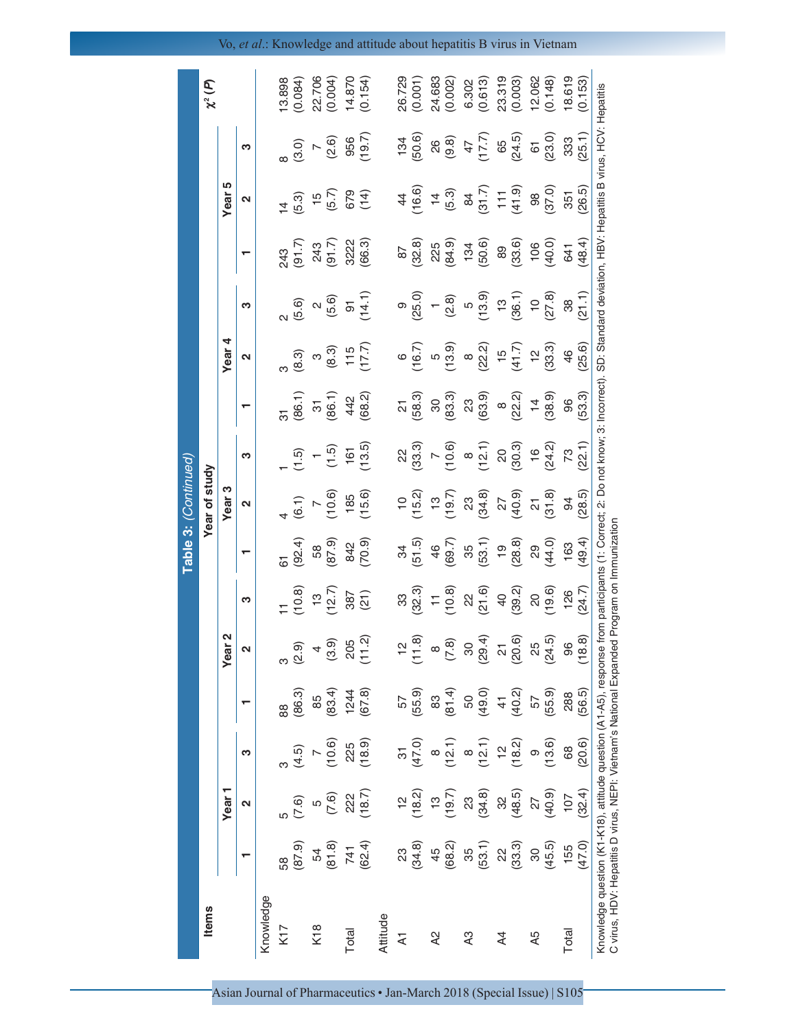| <b>Items</b>   |                                            |                                                          |                                                              |                                                                      |                                          |                                                                                                                                                                                                                                                                                 |                                                                                                                                                                   | Year of study                  |                                                                                          |                                                                                                                                                                                                                                                                                                                         |                                                                                                                                                                                                                                                                                                                                                                                                                                                                |                                                                                             |                                                                                                                                                                                                                                                                                                                                    |                                                                                                |                                                | $\chi^2(P)$                                                                                |
|----------------|--------------------------------------------|----------------------------------------------------------|--------------------------------------------------------------|----------------------------------------------------------------------|------------------------------------------|---------------------------------------------------------------------------------------------------------------------------------------------------------------------------------------------------------------------------------------------------------------------------------|-------------------------------------------------------------------------------------------------------------------------------------------------------------------|--------------------------------|------------------------------------------------------------------------------------------|-------------------------------------------------------------------------------------------------------------------------------------------------------------------------------------------------------------------------------------------------------------------------------------------------------------------------|----------------------------------------------------------------------------------------------------------------------------------------------------------------------------------------------------------------------------------------------------------------------------------------------------------------------------------------------------------------------------------------------------------------------------------------------------------------|---------------------------------------------------------------------------------------------|------------------------------------------------------------------------------------------------------------------------------------------------------------------------------------------------------------------------------------------------------------------------------------------------------------------------------------|------------------------------------------------------------------------------------------------|------------------------------------------------|--------------------------------------------------------------------------------------------|
|                |                                            | Year <sub>1</sub>                                        |                                                              |                                                                      | Year <sub>2</sub>                        |                                                                                                                                                                                                                                                                                 |                                                                                                                                                                   | Year <sub>3</sub>              |                                                                                          |                                                                                                                                                                                                                                                                                                                         | Year 4                                                                                                                                                                                                                                                                                                                                                                                                                                                         |                                                                                             |                                                                                                                                                                                                                                                                                                                                    | Year <sub>5</sub>                                                                              |                                                |                                                                                            |
|                |                                            | 2                                                        | S                                                            |                                                                      | 2                                        | ო                                                                                                                                                                                                                                                                               |                                                                                                                                                                   | $\mathbf{\Omega}$              | ო                                                                                        |                                                                                                                                                                                                                                                                                                                         | $\mathbf{\Omega}$                                                                                                                                                                                                                                                                                                                                                                                                                                              | ო                                                                                           |                                                                                                                                                                                                                                                                                                                                    | $\mathbf{\Omega}$                                                                              | S                                              |                                                                                            |
| Knowledge      |                                            |                                                          |                                                              |                                                                      |                                          |                                                                                                                                                                                                                                                                                 |                                                                                                                                                                   |                                |                                                                                          |                                                                                                                                                                                                                                                                                                                         |                                                                                                                                                                                                                                                                                                                                                                                                                                                                |                                                                                             |                                                                                                                                                                                                                                                                                                                                    |                                                                                                |                                                |                                                                                            |
| K17            | 58<br>(87.9)<br>(87.9)<br>(81.8)<br>(62.4) | 5<br>(7.6)<br>(7.6)<br>(18.7)<br>(18.7)                  |                                                              |                                                                      |                                          |                                                                                                                                                                                                                                                                                 |                                                                                                                                                                   |                                |                                                                                          | .<br>ত                                                                                                                                                                                                                                                                                                                  |                                                                                                                                                                                                                                                                                                                                                                                                                                                                |                                                                                             |                                                                                                                                                                                                                                                                                                                                    |                                                                                                |                                                | 13.898<br>(0.084)                                                                          |
|                |                                            |                                                          |                                                              |                                                                      |                                          | (10.8)                                                                                                                                                                                                                                                                          |                                                                                                                                                                   | (6.1)                          |                                                                                          |                                                                                                                                                                                                                                                                                                                         |                                                                                                                                                                                                                                                                                                                                                                                                                                                                |                                                                                             |                                                                                                                                                                                                                                                                                                                                    |                                                                                                |                                                |                                                                                            |
| K18            |                                            |                                                          |                                                              |                                                                      |                                          |                                                                                                                                                                                                                                                                                 |                                                                                                                                                                   |                                |                                                                                          |                                                                                                                                                                                                                                                                                                                         |                                                                                                                                                                                                                                                                                                                                                                                                                                                                |                                                                                             |                                                                                                                                                                                                                                                                                                                                    |                                                                                                |                                                |                                                                                            |
|                |                                            |                                                          | $(4.5)$<br>$(10.6)$<br>$(10.6)$<br>$(18.9)$                  | 88<br>(86.3)<br>(85<br>(87.8)<br>(67.8)                              | $(2.9)$<br>$(3.9)$<br>$(3.9)$<br>$(1.2)$ | $13$<br>$(12.7)$<br>$387$<br>$(21)$                                                                                                                                                                                                                                             | $(62.4)$<br>$58$<br>$67.9$<br>$842$<br>$70.9$                                                                                                                     | $7$<br>(10.6)<br>185<br>(15.6) | $(1.5)$<br>$(1.5)$<br>$(1.5)$<br>$(13.5)$                                                | $(86.1)$<br>$31$<br>$36.1$<br>$442$<br>$46.2$<br>$(68.2)$                                                                                                                                                                                                                                                               | $(8.3)$<br>$(8.3)$<br>$(115)$<br>$(17.7)$                                                                                                                                                                                                                                                                                                                                                                                                                      | $(5.6)$<br>$(5.6)$<br>$(5.6)$<br>$51$<br>$(14.1)$                                           | 243<br>(91.7)<br>243<br>(91.7)<br>3222<br>306.3)                                                                                                                                                                                                                                                                                   | $74$<br>$(5.3)$<br>$(5.7)$<br>$(5.7)$<br>$(674)$                                               | $(3.0)$<br>$7$<br>$(2.6)$<br>$956$<br>$(19.7)$ | 22.706<br>(0.004)<br>14.870<br>(0.154)                                                     |
| <b>Total</b>   |                                            |                                                          |                                                              |                                                                      |                                          |                                                                                                                                                                                                                                                                                 |                                                                                                                                                                   |                                |                                                                                          |                                                                                                                                                                                                                                                                                                                         |                                                                                                                                                                                                                                                                                                                                                                                                                                                                |                                                                                             |                                                                                                                                                                                                                                                                                                                                    |                                                                                                |                                                |                                                                                            |
|                |                                            |                                                          |                                                              |                                                                      |                                          |                                                                                                                                                                                                                                                                                 |                                                                                                                                                                   |                                |                                                                                          |                                                                                                                                                                                                                                                                                                                         |                                                                                                                                                                                                                                                                                                                                                                                                                                                                |                                                                                             |                                                                                                                                                                                                                                                                                                                                    |                                                                                                |                                                |                                                                                            |
| Attitude       |                                            |                                                          |                                                              |                                                                      |                                          |                                                                                                                                                                                                                                                                                 |                                                                                                                                                                   |                                |                                                                                          |                                                                                                                                                                                                                                                                                                                         |                                                                                                                                                                                                                                                                                                                                                                                                                                                                |                                                                                             |                                                                                                                                                                                                                                                                                                                                    |                                                                                                |                                                |                                                                                            |
| $\overline{A}$ |                                            |                                                          |                                                              |                                                                      |                                          |                                                                                                                                                                                                                                                                                 |                                                                                                                                                                   |                                |                                                                                          |                                                                                                                                                                                                                                                                                                                         |                                                                                                                                                                                                                                                                                                                                                                                                                                                                |                                                                                             |                                                                                                                                                                                                                                                                                                                                    |                                                                                                |                                                |                                                                                            |
|                | $23$<br>$(34.8)$<br>$45$<br>$(68.2)$       | $(18.2)$<br>$(18.2)$<br>$(19.7)$                         | 31<br>(47.0)<br>(8 a<br>(12.1)<br>(18.2)<br>(13.6)<br>(13.6) | 57<br>(55.9)<br>83<br>(81.4)<br>50<br>(55.9)<br>40.2)<br>57<br>57.9) |                                          | $\begin{array}{c} 33 \\ 32 \\ 33 \\ \hline \end{array} \begin{array}{c} 24 \\ 25 \\ 26 \\ \hline \end{array} \begin{array}{c} 24 \\ 25 \\ 26 \\ \hline \end{array} \begin{array}{c} 25 \\ 25 \\ 25 \\ \hline \end{array} \begin{array}{c} 23 \\ 25 \\ 25 \\ \hline \end{array}$ | $(51.5)$ $(54.6)$ $(59.7)$ $(59.7)$ $(59.7)$ $(59.7)$ $(59.7)$ $(59.7)$ $(59.7)$ $(59.7)$ $(59.7)$ $(59.7)$ $(59.7)$ $(59.7)$ $(59.7)$ $(59.7)$ $(59.7)$ $(59.7)$ |                                | $22$<br>$(33.3)$<br>$(36.3)$<br>$(36.3)$<br>$(36.3)$<br>$(36.3)$<br>$(36.3)$<br>$(32.1)$ | $\begin{bmatrix} 21 \\ 0.83 \\ 0.83 \end{bmatrix}$ (3, 3, 3)<br>$\begin{bmatrix} 3 & 0 \\ 0.83 & 0 \\ 0.83 & 0 \\ 0.83 & 0 \\ 0.83 & 0 \\ 0.83 & 0 \\ 0.83 & 0 \\ 0.83 & 0 \\ 0.83 & 0 \\ 0.83 & 0 \\ 0.83 & 0 \\ 0.83 & 0 \\ 0.83 & 0 \\ 0.83 & 0 \\ 0.83 & 0 \\ 0.83 & 0 \\ 0.83 & 0 \\ 0.83 & 0 \\ 0.83 & 0 \\ 0.83$ | $\begin{array}{c} \mathfrak{g} \\ (\mathfrak{g},7) \\ (\mathfrak{g},9) \\ (\mathfrak{g},9) \\ (\mathfrak{g},2) \\ (\mathfrak{g},2) \\ (\mathfrak{g},4) \\ (\mathfrak{g},3) \\ (\mathfrak{g},3) \\ (\mathfrak{g},3) \\ (\mathfrak{g},3) \\ (\mathfrak{g},2) \\ (\mathfrak{g},3) \\ (\mathfrak{g},3) \\ (\mathfrak{g},3) \\ (\mathfrak{g},3) \\ (\mathfrak{g},3) \\ (\mathfrak{g},3) \\ (\mathfrak{g},3) \\ (\mathfrak{g},3) \\ (\mathfrak{g},3) \\ (\mathfrak{$ | 9<br>$(25.0)$<br>$(2.8)$<br>$(5.0)$<br>$(5.0)$<br>$(5.0)$<br>$(5.0)$<br>$(5.0)$<br>$(27.8)$ | $\begin{array}{c} 67 \\ 87.8 \\ (32.8) \\ (32.4) \\ (34.9) \\ (43.4) \\ (50.6) \\ (30.6) \\ (30.6) \\ (24.4) \\ (36.6) \\ (40.0) \\ (40.0) \\ (40.0) \\ (40.0) \\ (40.0) \\ (40.0) \\ (40.0) \\ (40.0) \\ (40.0) \\ (40.0) \\ (40.0) \\ (40.0) \\ (40.0) \\ (40.0) \\ (40.0) \\ (40.0) \\ (40.0) \\ (40.0) \\ (40.0) \\ (40.0) \\$ | $44$<br>$(16.6)$<br>$(5.3)$<br>$8$<br>$(31.7)$<br>$(11.9)$<br>$(30.0)$<br>$(35.5)$<br>$(26.5)$ | $134$<br>(50.6)<br>26<br>26<br>(9.8)<br>47.7)  | 26.729<br>(0.001)                                                                          |
| $\overline{A}$ |                                            |                                                          |                                                              |                                                                      |                                          |                                                                                                                                                                                                                                                                                 |                                                                                                                                                                   |                                |                                                                                          |                                                                                                                                                                                                                                                                                                                         |                                                                                                                                                                                                                                                                                                                                                                                                                                                                |                                                                                             |                                                                                                                                                                                                                                                                                                                                    |                                                                                                |                                                |                                                                                            |
|                |                                            |                                                          |                                                              |                                                                      |                                          |                                                                                                                                                                                                                                                                                 |                                                                                                                                                                   |                                |                                                                                          |                                                                                                                                                                                                                                                                                                                         |                                                                                                                                                                                                                                                                                                                                                                                                                                                                |                                                                                             |                                                                                                                                                                                                                                                                                                                                    |                                                                                                |                                                | 24.683<br>(0.002)                                                                          |
| $\lambda$ 3    |                                            |                                                          |                                                              |                                                                      |                                          |                                                                                                                                                                                                                                                                                 |                                                                                                                                                                   |                                |                                                                                          |                                                                                                                                                                                                                                                                                                                         |                                                                                                                                                                                                                                                                                                                                                                                                                                                                |                                                                                             |                                                                                                                                                                                                                                                                                                                                    |                                                                                                |                                                |                                                                                            |
|                | (53.1)                                     | $23$<br>$(34.8)$<br>$32$<br>$(48.5)$<br>$27$<br>$(40.9)$ |                                                              |                                                                      |                                          |                                                                                                                                                                                                                                                                                 |                                                                                                                                                                   |                                |                                                                                          |                                                                                                                                                                                                                                                                                                                         |                                                                                                                                                                                                                                                                                                                                                                                                                                                                |                                                                                             |                                                                                                                                                                                                                                                                                                                                    |                                                                                                |                                                | $\begin{array}{c} 6.302 \\ (0.613) \\ 23.319 \\ (0.003) \\ (0.003) \\ (0.148) \end{array}$ |
| $\overline{4}$ |                                            |                                                          |                                                              |                                                                      |                                          |                                                                                                                                                                                                                                                                                 |                                                                                                                                                                   |                                |                                                                                          |                                                                                                                                                                                                                                                                                                                         |                                                                                                                                                                                                                                                                                                                                                                                                                                                                |                                                                                             |                                                                                                                                                                                                                                                                                                                                    |                                                                                                |                                                |                                                                                            |
|                | $22$<br>$(3.3)$<br>$3.5$<br>$(45.5)$       |                                                          |                                                              |                                                                      |                                          |                                                                                                                                                                                                                                                                                 |                                                                                                                                                                   |                                |                                                                                          |                                                                                                                                                                                                                                                                                                                         |                                                                                                                                                                                                                                                                                                                                                                                                                                                                |                                                                                             |                                                                                                                                                                                                                                                                                                                                    |                                                                                                | 65<br>(24.5)                                   |                                                                                            |
| A5             |                                            |                                                          |                                                              |                                                                      | (24.5)                                   |                                                                                                                                                                                                                                                                                 |                                                                                                                                                                   |                                |                                                                                          |                                                                                                                                                                                                                                                                                                                         |                                                                                                                                                                                                                                                                                                                                                                                                                                                                |                                                                                             |                                                                                                                                                                                                                                                                                                                                    |                                                                                                |                                                |                                                                                            |
|                |                                            |                                                          |                                                              |                                                                      |                                          |                                                                                                                                                                                                                                                                                 |                                                                                                                                                                   |                                |                                                                                          |                                                                                                                                                                                                                                                                                                                         |                                                                                                                                                                                                                                                                                                                                                                                                                                                                |                                                                                             |                                                                                                                                                                                                                                                                                                                                    |                                                                                                | 61<br>(23.0)                                   |                                                                                            |
| Total          | 155<br>47.0)                               | $107$<br>$(32.4)$                                        | 68                                                           | 288<br>56.5)                                                         | 96                                       | $126$<br>(24.7)                                                                                                                                                                                                                                                                 | 163                                                                                                                                                               | (28.5)                         |                                                                                          | 96<br>(53.3)                                                                                                                                                                                                                                                                                                            | $46$<br>(25.6)                                                                                                                                                                                                                                                                                                                                                                                                                                                 | $\frac{38}{(21.1)}$                                                                         | 641<br>(48.4)                                                                                                                                                                                                                                                                                                                      |                                                                                                | $333$<br>(25.1)                                | $18.619$<br>$(0.153)$                                                                      |
|                |                                            |                                                          | (20.6)                                                       |                                                                      | (8.8)                                    |                                                                                                                                                                                                                                                                                 | (49.4)                                                                                                                                                            |                                |                                                                                          |                                                                                                                                                                                                                                                                                                                         |                                                                                                                                                                                                                                                                                                                                                                                                                                                                |                                                                                             |                                                                                                                                                                                                                                                                                                                                    |                                                                                                |                                                |                                                                                            |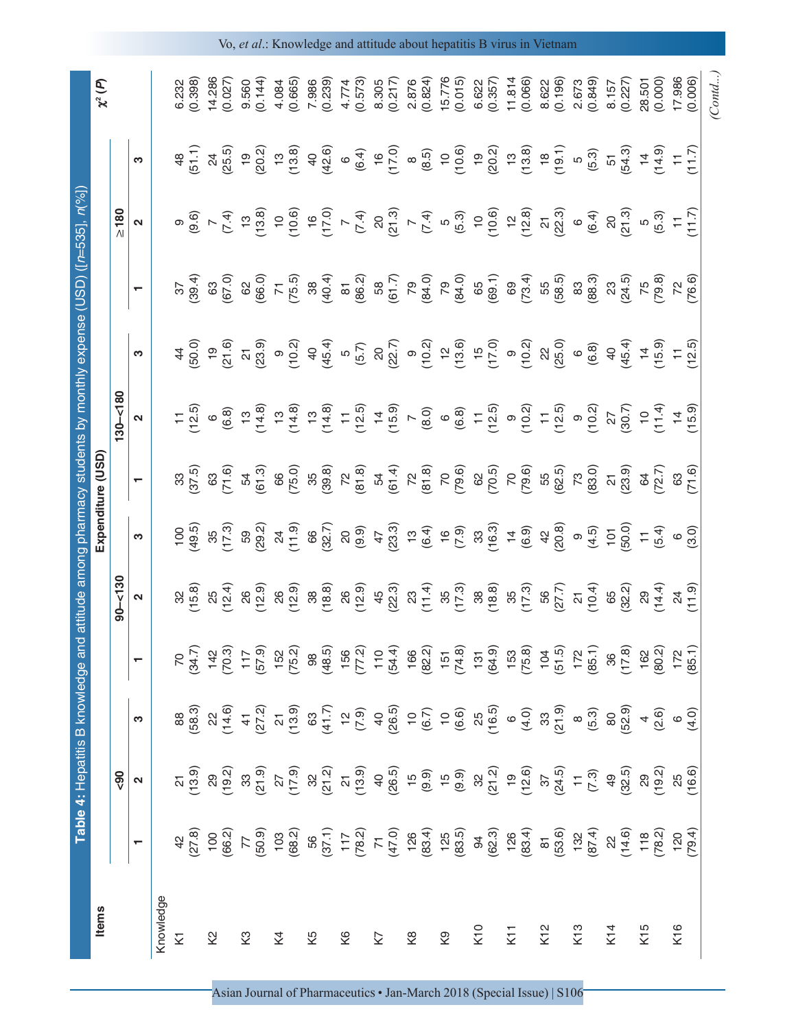| <b>Items</b>                |                                                                                                                                                                                                                                                                                                                                                                                                                                                                            | Table 4: Hepatitis B knowledge and                                                                                                                                                                                                                                                                                                                                                                                                                                                   |                                                                                                                                                                                                                                                                                                                                                                                                                                                                                                                                                |                                                              |                              |                                                                                                                                                                                                                                                                                                                                                                                                                                       | Expenditure (USD                                                                                                                                                                                                                                                                              |                                    |                                                                                                                                                                                                                                                                       | <b>COSD</b>                                                                            |                     |                                                                                                                                          |                                                  |
|-----------------------------|----------------------------------------------------------------------------------------------------------------------------------------------------------------------------------------------------------------------------------------------------------------------------------------------------------------------------------------------------------------------------------------------------------------------------------------------------------------------------|--------------------------------------------------------------------------------------------------------------------------------------------------------------------------------------------------------------------------------------------------------------------------------------------------------------------------------------------------------------------------------------------------------------------------------------------------------------------------------------|------------------------------------------------------------------------------------------------------------------------------------------------------------------------------------------------------------------------------------------------------------------------------------------------------------------------------------------------------------------------------------------------------------------------------------------------------------------------------------------------------------------------------------------------|--------------------------------------------------------------|------------------------------|---------------------------------------------------------------------------------------------------------------------------------------------------------------------------------------------------------------------------------------------------------------------------------------------------------------------------------------------------------------------------------------------------------------------------------------|-----------------------------------------------------------------------------------------------------------------------------------------------------------------------------------------------------------------------------------------------------------------------------------------------|------------------------------------|-----------------------------------------------------------------------------------------------------------------------------------------------------------------------------------------------------------------------------------------------------------------------|----------------------------------------------------------------------------------------|---------------------|------------------------------------------------------------------------------------------------------------------------------------------|--------------------------------------------------|
|                             |                                                                                                                                                                                                                                                                                                                                                                                                                                                                            | $\frac{6}{5}$                                                                                                                                                                                                                                                                                                                                                                                                                                                                        |                                                                                                                                                                                                                                                                                                                                                                                                                                                                                                                                                |                                                              | $90 - 130$                   |                                                                                                                                                                                                                                                                                                                                                                                                                                       |                                                                                                                                                                                                                                                                                               | $130 - 180$                        |                                                                                                                                                                                                                                                                       |                                                                                        | $\geq 180$          |                                                                                                                                          | $\widehat{\mathcal{C}}$<br>$\boldsymbol{\chi}^2$ |
|                             | $\overline{\phantom{0}}$                                                                                                                                                                                                                                                                                                                                                                                                                                                   | $\mathbf{\Omega}$                                                                                                                                                                                                                                                                                                                                                                                                                                                                    | S                                                                                                                                                                                                                                                                                                                                                                                                                                                                                                                                              |                                                              | $\mathbf{a}$                 | ო                                                                                                                                                                                                                                                                                                                                                                                                                                     | $\overline{\phantom{0}}$                                                                                                                                                                                                                                                                      | $\boldsymbol{\mathsf{N}}$          | ო                                                                                                                                                                                                                                                                     | $\overline{\phantom{0}}$                                                               | $\boldsymbol{\sim}$ | S                                                                                                                                        |                                                  |
| Knowledge                   |                                                                                                                                                                                                                                                                                                                                                                                                                                                                            |                                                                                                                                                                                                                                                                                                                                                                                                                                                                                      |                                                                                                                                                                                                                                                                                                                                                                                                                                                                                                                                                |                                                              |                              |                                                                                                                                                                                                                                                                                                                                                                                                                                       |                                                                                                                                                                                                                                                                                               |                                    |                                                                                                                                                                                                                                                                       |                                                                                        |                     |                                                                                                                                          |                                                  |
| Σ                           |                                                                                                                                                                                                                                                                                                                                                                                                                                                                            | $\frac{21}{13}$                                                                                                                                                                                                                                                                                                                                                                                                                                                                      | 88<br>58.3                                                                                                                                                                                                                                                                                                                                                                                                                                                                                                                                     | $70^{24.7}$                                                  | 32<br>(15.8)                 | (49.5)                                                                                                                                                                                                                                                                                                                                                                                                                                | 37.5                                                                                                                                                                                                                                                                                          | 12.5                               | $\frac{50}{4}$                                                                                                                                                                                                                                                        | 39.4                                                                                   | (9.6)<br>თ          | 51.1<br>$\frac{8}{4}$                                                                                                                    | (0.398)<br>6.232                                 |
| 2                           |                                                                                                                                                                                                                                                                                                                                                                                                                                                                            |                                                                                                                                                                                                                                                                                                                                                                                                                                                                                      |                                                                                                                                                                                                                                                                                                                                                                                                                                                                                                                                                |                                                              |                              |                                                                                                                                                                                                                                                                                                                                                                                                                                       |                                                                                                                                                                                                                                                                                               | $\circ$                            |                                                                                                                                                                                                                                                                       |                                                                                        | $\mathord{\sim}$    | $\overline{24}$                                                                                                                          | 14.286                                           |
|                             |                                                                                                                                                                                                                                                                                                                                                                                                                                                                            |                                                                                                                                                                                                                                                                                                                                                                                                                                                                                      |                                                                                                                                                                                                                                                                                                                                                                                                                                                                                                                                                |                                                              | $25$<br>$(12.4)$             | $35$<br>$(17.3)$                                                                                                                                                                                                                                                                                                                                                                                                                      | 63<br>71.6                                                                                                                                                                                                                                                                                    | (6.8)                              | $\frac{9}{21}$                                                                                                                                                                                                                                                        | 63<br>(67.0)                                                                           | (7.4)               | (25.5)                                                                                                                                   | (0.027)                                          |
| ζ3                          |                                                                                                                                                                                                                                                                                                                                                                                                                                                                            |                                                                                                                                                                                                                                                                                                                                                                                                                                                                                      |                                                                                                                                                                                                                                                                                                                                                                                                                                                                                                                                                |                                                              |                              | 59<br>29.2)                                                                                                                                                                                                                                                                                                                                                                                                                           | 54<br>50.3)                                                                                                                                                                                                                                                                                   | $13$<br>$(14.8)$                   | $\frac{21}{23.9}$                                                                                                                                                                                                                                                     | 62<br>(66.0)                                                                           | $\frac{1}{2}$       | $\overline{6}$                                                                                                                           | 9.560                                            |
|                             |                                                                                                                                                                                                                                                                                                                                                                                                                                                                            |                                                                                                                                                                                                                                                                                                                                                                                                                                                                                      |                                                                                                                                                                                                                                                                                                                                                                                                                                                                                                                                                |                                                              |                              |                                                                                                                                                                                                                                                                                                                                                                                                                                       |                                                                                                                                                                                                                                                                                               |                                    |                                                                                                                                                                                                                                                                       |                                                                                        | (13.8)              | (20.2)                                                                                                                                   | (0.144)                                          |
| Χ4                          | $\begin{array}{c} 4\, \overline{10}\, \\ 2\, \overline{10}\, \\ 6\, \overline{10}\, \\ \overline{10}\, \\ \overline{10}\, \\ \overline{10}\, \\ \overline{10}\, \\ \overline{10}\, \\ \overline{10}\, \\ \overline{10}\, \\ \overline{10}\, \\ \overline{10}\, \\ \overline{10}\, \\ \overline{10}\, \\ \overline{10}\, \\ \overline{10}\, \\ \overline{11}\, \\ \overline{10}\, \\ \overline{11}\, \\ \overline{11}\, \\ \overline{11}\, \\ \overline{10}\, \\ \overline$ | $\begin{array}{c} \mathcal{S}_1 \oplus \mathcal{S}_2 \oplus \mathcal{S}_3 \oplus \mathcal{S}_4 \oplus \mathcal{S}_5 \oplus \mathcal{S}_5 \oplus \mathcal{S}_6 \oplus \mathcal{S}_7 \oplus \mathcal{S}_8 \oplus \mathcal{S}_7 \oplus \mathcal{S}_8 \oplus \mathcal{S}_9 \oplus \mathcal{S}_9 \oplus \mathcal{S}_9 \oplus \mathcal{S}_9 \oplus \mathcal{S}_9 \oplus \mathcal{S}_9 \oplus \mathcal{S}_9 \oplus \mathcal{S}_9 \oplus \mathcal{S}_9 \oplus \mathcal{S}_9 \oplus \mathcal$ | $\begin{array}{c} \mathcal{A}\stackrel{\frown}{=}4\stackrel{\frown}{C}\stackrel{\frown}{=}\mathcal{A}\stackrel{\frown}{=}\mathcal{C}\stackrel{\frown}{=}\mathcal{C}\stackrel{\frown}{=}\mathcal{C}\stackrel{\frown}{=}\mathcal{C}\stackrel{\frown}{=}\mathcal{C}\stackrel{\frown}{=}\mathcal{C}\stackrel{\frown}{=}\mathcal{C}\stackrel{\frown}{=}\mathcal{C}\stackrel{\frown}{=}\mathcal{C}\stackrel{\frown}{=}\mathcal{C}\stackrel{\frown}{=}\mathcal{C}\stackrel{\frown}{=}\mathcal{C}\stackrel{\frown}{=}\mathcal{C}\stackrel{\frown}{=}\$ | $742$<br>$(70.3)$<br>$17$<br>$152$<br>$152$<br>$75.2)$       | 26<br>(12.9)<br>26<br>(12.9) | $24$<br>$(1, 9)$<br>$66$<br>$(32.7)$                                                                                                                                                                                                                                                                                                                                                                                                  | 66<br>(75.0)                                                                                                                                                                                                                                                                                  | $13$<br>$(14.8)$                   | 90.2                                                                                                                                                                                                                                                                  | 71<br>$(75.5)$<br>$(38.3)$<br>$(40.4)$<br>$(50.2)$<br>$(50.7)$<br>$(50.7)$<br>$(64.0)$ | 10.6                | $\frac{13}{13.8}$                                                                                                                        | (0.665)<br>4.084                                 |
| 52                          |                                                                                                                                                                                                                                                                                                                                                                                                                                                                            |                                                                                                                                                                                                                                                                                                                                                                                                                                                                                      |                                                                                                                                                                                                                                                                                                                                                                                                                                                                                                                                                |                                                              |                              |                                                                                                                                                                                                                                                                                                                                                                                                                                       |                                                                                                                                                                                                                                                                                               |                                    |                                                                                                                                                                                                                                                                       |                                                                                        |                     | $rac{40}{42.6}$                                                                                                                          | 7.986<br>(0.239)                                 |
|                             |                                                                                                                                                                                                                                                                                                                                                                                                                                                                            |                                                                                                                                                                                                                                                                                                                                                                                                                                                                                      |                                                                                                                                                                                                                                                                                                                                                                                                                                                                                                                                                |                                                              |                              |                                                                                                                                                                                                                                                                                                                                                                                                                                       |                                                                                                                                                                                                                                                                                               |                                    |                                                                                                                                                                                                                                                                       |                                                                                        |                     |                                                                                                                                          |                                                  |
| 6X                          |                                                                                                                                                                                                                                                                                                                                                                                                                                                                            |                                                                                                                                                                                                                                                                                                                                                                                                                                                                                      |                                                                                                                                                                                                                                                                                                                                                                                                                                                                                                                                                |                                                              | 38<br>(18.8)<br>26<br>(12.9) | $\begin{array}{c} 80 \\ 80 \\ 90 \\ \hline \end{array} \begin{array}{c} 2 \\ 4 \\ 1 \\ 2 \\ 3 \\ \hline \end{array} \begin{array}{c} 2 \\ 4 \\ 1 \\ 2 \\ 4 \\ \hline \end{array} \begin{array}{c} 2 \\ 4 \\ 1 \\ 2 \\ 3 \\ \hline \end{array} \begin{array}{c} 2 \\ 4 \\ 1 \\ 2 \\ 4 \\ \hline \end{array} \begin{array}{c} 2 \\ 4 \\ 1 \\ 2 \\ 3 \\ \hline \end{array} \begin{array}{c} 2 \\ 4 \\ 1 \\ 2 \\ 4 \\ \hline \end{array}$ | $\begin{array}{cccccc} & 0.63 & 0.63 & 0.63 \\ & 0.63 & 0.63 & 0.65 & 0.66 \\ & 0.63 & 0.63 & 0.66 & 0.66 \\ & 0.63 & 0.63 & 0.66 & 0.66 \\ & 0.63 & 0.63 & 0.66 & 0.66 \\ & 0.63 & 0.63 & 0.66 & 0.66 \\ & 0.63 & 0.63 & 0.66 & 0.66 \\ & 0.63 & 0.63 & 0.66 & 0.66 \\ & 0.63 & 0.63 & 0.66$ |                                    | $\begin{array}{cccccc} 46.4 & 0.0000 & 0.0000 & 0.0000 & 0.0000 & 0.0000 & 0.0000 & 0.0000 & 0.0000 & 0.0000 & 0.0000 & 0.0000 & 0.0000 & 0.0000 & 0.0000 & 0.0000 & 0.0000 & 0.0000 & 0.0000 & 0.0000 & 0.0000 & 0.0000 & 0.0000 & 0.0000 & 0.0000 & 0.0000 & 0.000$ |                                                                                        |                     | (6.4)<br>$\circ$                                                                                                                         | (0.573)<br>4.774                                 |
| K7                          |                                                                                                                                                                                                                                                                                                                                                                                                                                                                            |                                                                                                                                                                                                                                                                                                                                                                                                                                                                                      |                                                                                                                                                                                                                                                                                                                                                                                                                                                                                                                                                |                                                              |                              |                                                                                                                                                                                                                                                                                                                                                                                                                                       |                                                                                                                                                                                                                                                                                               |                                    |                                                                                                                                                                                                                                                                       |                                                                                        |                     |                                                                                                                                          |                                                  |
|                             |                                                                                                                                                                                                                                                                                                                                                                                                                                                                            |                                                                                                                                                                                                                                                                                                                                                                                                                                                                                      |                                                                                                                                                                                                                                                                                                                                                                                                                                                                                                                                                |                                                              |                              |                                                                                                                                                                                                                                                                                                                                                                                                                                       |                                                                                                                                                                                                                                                                                               |                                    |                                                                                                                                                                                                                                                                       |                                                                                        |                     | (17.0)                                                                                                                                   | $8.305$<br>$(0.217)$                             |
| $\stackrel{\circ}{\approx}$ |                                                                                                                                                                                                                                                                                                                                                                                                                                                                            |                                                                                                                                                                                                                                                                                                                                                                                                                                                                                      |                                                                                                                                                                                                                                                                                                                                                                                                                                                                                                                                                |                                                              |                              |                                                                                                                                                                                                                                                                                                                                                                                                                                       |                                                                                                                                                                                                                                                                                               |                                    |                                                                                                                                                                                                                                                                       |                                                                                        |                     |                                                                                                                                          | 2.876                                            |
|                             |                                                                                                                                                                                                                                                                                                                                                                                                                                                                            |                                                                                                                                                                                                                                                                                                                                                                                                                                                                                      |                                                                                                                                                                                                                                                                                                                                                                                                                                                                                                                                                |                                                              |                              |                                                                                                                                                                                                                                                                                                                                                                                                                                       |                                                                                                                                                                                                                                                                                               |                                    |                                                                                                                                                                                                                                                                       |                                                                                        |                     |                                                                                                                                          | (0.824)                                          |
| Κ9                          |                                                                                                                                                                                                                                                                                                                                                                                                                                                                            |                                                                                                                                                                                                                                                                                                                                                                                                                                                                                      |                                                                                                                                                                                                                                                                                                                                                                                                                                                                                                                                                |                                                              |                              |                                                                                                                                                                                                                                                                                                                                                                                                                                       |                                                                                                                                                                                                                                                                                               |                                    |                                                                                                                                                                                                                                                                       |                                                                                        |                     | $(8.5)$<br>$(9.5)$<br>$(10.6)$                                                                                                           | 15.776<br>(0.015)                                |
|                             |                                                                                                                                                                                                                                                                                                                                                                                                                                                                            |                                                                                                                                                                                                                                                                                                                                                                                                                                                                                      |                                                                                                                                                                                                                                                                                                                                                                                                                                                                                                                                                |                                                              |                              |                                                                                                                                                                                                                                                                                                                                                                                                                                       |                                                                                                                                                                                                                                                                                               |                                    |                                                                                                                                                                                                                                                                       |                                                                                        |                     |                                                                                                                                          |                                                  |
| K10                         |                                                                                                                                                                                                                                                                                                                                                                                                                                                                            |                                                                                                                                                                                                                                                                                                                                                                                                                                                                                      |                                                                                                                                                                                                                                                                                                                                                                                                                                                                                                                                                |                                                              |                              |                                                                                                                                                                                                                                                                                                                                                                                                                                       |                                                                                                                                                                                                                                                                                               |                                    |                                                                                                                                                                                                                                                                       | 79<br>(84.0)<br>(85 (1)<br>(8,0)<br>(8,0)<br>(5,8,5)                                   |                     | $\begin{pmatrix} 19 \\ 20.2 \end{pmatrix}$<br>$\begin{pmatrix} 19 \\ 13.8 \end{pmatrix}$<br>$\begin{pmatrix} 19.1 \\ 19.1 \end{pmatrix}$ | $6.622$<br>$(0.357)$                             |
| K11                         |                                                                                                                                                                                                                                                                                                                                                                                                                                                                            |                                                                                                                                                                                                                                                                                                                                                                                                                                                                                      |                                                                                                                                                                                                                                                                                                                                                                                                                                                                                                                                                |                                                              |                              |                                                                                                                                                                                                                                                                                                                                                                                                                                       |                                                                                                                                                                                                                                                                                               |                                    |                                                                                                                                                                                                                                                                       |                                                                                        |                     |                                                                                                                                          | 11.814                                           |
| K12                         |                                                                                                                                                                                                                                                                                                                                                                                                                                                                            |                                                                                                                                                                                                                                                                                                                                                                                                                                                                                      |                                                                                                                                                                                                                                                                                                                                                                                                                                                                                                                                                |                                                              |                              |                                                                                                                                                                                                                                                                                                                                                                                                                                       |                                                                                                                                                                                                                                                                                               |                                    |                                                                                                                                                                                                                                                                       |                                                                                        |                     |                                                                                                                                          | (0.066)                                          |
|                             |                                                                                                                                                                                                                                                                                                                                                                                                                                                                            |                                                                                                                                                                                                                                                                                                                                                                                                                                                                                      |                                                                                                                                                                                                                                                                                                                                                                                                                                                                                                                                                |                                                              |                              |                                                                                                                                                                                                                                                                                                                                                                                                                                       |                                                                                                                                                                                                                                                                                               |                                    |                                                                                                                                                                                                                                                                       |                                                                                        |                     |                                                                                                                                          | 8.622<br>(0.196)                                 |
| K <sub>13</sub>             |                                                                                                                                                                                                                                                                                                                                                                                                                                                                            |                                                                                                                                                                                                                                                                                                                                                                                                                                                                                      |                                                                                                                                                                                                                                                                                                                                                                                                                                                                                                                                                |                                                              |                              | $\circ$                                                                                                                                                                                                                                                                                                                                                                                                                               |                                                                                                                                                                                                                                                                                               |                                    | $\circ$                                                                                                                                                                                                                                                               | $\begin{array}{c} 83 \\ 88.3 \end{array}$                                              | $\circ$             | 5<br>(5.3)                                                                                                                               | 2.673<br>(0.849)                                 |
|                             |                                                                                                                                                                                                                                                                                                                                                                                                                                                                            |                                                                                                                                                                                                                                                                                                                                                                                                                                                                                      |                                                                                                                                                                                                                                                                                                                                                                                                                                                                                                                                                |                                                              |                              | (4.5)                                                                                                                                                                                                                                                                                                                                                                                                                                 |                                                                                                                                                                                                                                                                                               |                                    | (6.8)                                                                                                                                                                                                                                                                 |                                                                                        | (6.4)               |                                                                                                                                          |                                                  |
| $K$ 14                      |                                                                                                                                                                                                                                                                                                                                                                                                                                                                            |                                                                                                                                                                                                                                                                                                                                                                                                                                                                                      |                                                                                                                                                                                                                                                                                                                                                                                                                                                                                                                                                | $\begin{array}{c} 36 \\ (17.8) \\ 162 \\ (80.2) \end{array}$ |                              | $101$<br>$100$<br>$10$<br>$10$                                                                                                                                                                                                                                                                                                                                                                                                        | $\begin{bmatrix} 21 \\ 23.9 \\ 24.7 \end{bmatrix}$<br>$\begin{bmatrix} 5 & 0 \\ 2 & 7 \end{bmatrix}$                                                                                                                                                                                          | $\frac{27}{(30.7)}$<br>10<br>11.4) | $\overline{4}$                                                                                                                                                                                                                                                        | $\mathbb{S}^2$                                                                         | $\rm ^{\rm 2}$      | 54.3                                                                                                                                     | 8.157                                            |
|                             |                                                                                                                                                                                                                                                                                                                                                                                                                                                                            |                                                                                                                                                                                                                                                                                                                                                                                                                                                                                      |                                                                                                                                                                                                                                                                                                                                                                                                                                                                                                                                                |                                                              |                              |                                                                                                                                                                                                                                                                                                                                                                                                                                       |                                                                                                                                                                                                                                                                                               |                                    | (45.4)                                                                                                                                                                                                                                                                | (24.5)                                                                                 | (21.3)              |                                                                                                                                          | (0.227)                                          |
| K <sub>15</sub>             |                                                                                                                                                                                                                                                                                                                                                                                                                                                                            |                                                                                                                                                                                                                                                                                                                                                                                                                                                                                      |                                                                                                                                                                                                                                                                                                                                                                                                                                                                                                                                                |                                                              | $\frac{29}{14.4}$            |                                                                                                                                                                                                                                                                                                                                                                                                                                       |                                                                                                                                                                                                                                                                                               |                                    |                                                                                                                                                                                                                                                                       | $75$<br>$79.8$                                                                         | $\overline{c}$      | $\frac{14}{14.9}$                                                                                                                        | 28.501                                           |
|                             |                                                                                                                                                                                                                                                                                                                                                                                                                                                                            |                                                                                                                                                                                                                                                                                                                                                                                                                                                                                      |                                                                                                                                                                                                                                                                                                                                                                                                                                                                                                                                                |                                                              |                              | (5.4)                                                                                                                                                                                                                                                                                                                                                                                                                                 |                                                                                                                                                                                                                                                                                               |                                    |                                                                                                                                                                                                                                                                       |                                                                                        | (5.3)               |                                                                                                                                          | (0.000)                                          |
| K16                         |                                                                                                                                                                                                                                                                                                                                                                                                                                                                            | (16.6)                                                                                                                                                                                                                                                                                                                                                                                                                                                                               |                                                                                                                                                                                                                                                                                                                                                                                                                                                                                                                                                | $172$<br>(85.1)                                              | $\frac{24}{11.9}$            | $\mathbf{\circ}$                                                                                                                                                                                                                                                                                                                                                                                                                      |                                                                                                                                                                                                                                                                                               | (15.9)                             | $74$<br>$(15.9)$<br>$(15.9)$                                                                                                                                                                                                                                          | $72^{2}$                                                                               |                     | $\overleftarrow{\textbf{t}}$                                                                                                             | 17.986                                           |
|                             |                                                                                                                                                                                                                                                                                                                                                                                                                                                                            |                                                                                                                                                                                                                                                                                                                                                                                                                                                                                      |                                                                                                                                                                                                                                                                                                                                                                                                                                                                                                                                                |                                                              |                              | (3.0)                                                                                                                                                                                                                                                                                                                                                                                                                                 |                                                                                                                                                                                                                                                                                               |                                    |                                                                                                                                                                                                                                                                       |                                                                                        | 11.7                | 11.7                                                                                                                                     | (0.006)                                          |
|                             |                                                                                                                                                                                                                                                                                                                                                                                                                                                                            |                                                                                                                                                                                                                                                                                                                                                                                                                                                                                      |                                                                                                                                                                                                                                                                                                                                                                                                                                                                                                                                                |                                                              |                              |                                                                                                                                                                                                                                                                                                                                                                                                                                       |                                                                                                                                                                                                                                                                                               |                                    |                                                                                                                                                                                                                                                                       |                                                                                        |                     |                                                                                                                                          | Contd.                                           |

Vo, *et al*.: Knowledge and attitude about hepatitis B virus in Vietnam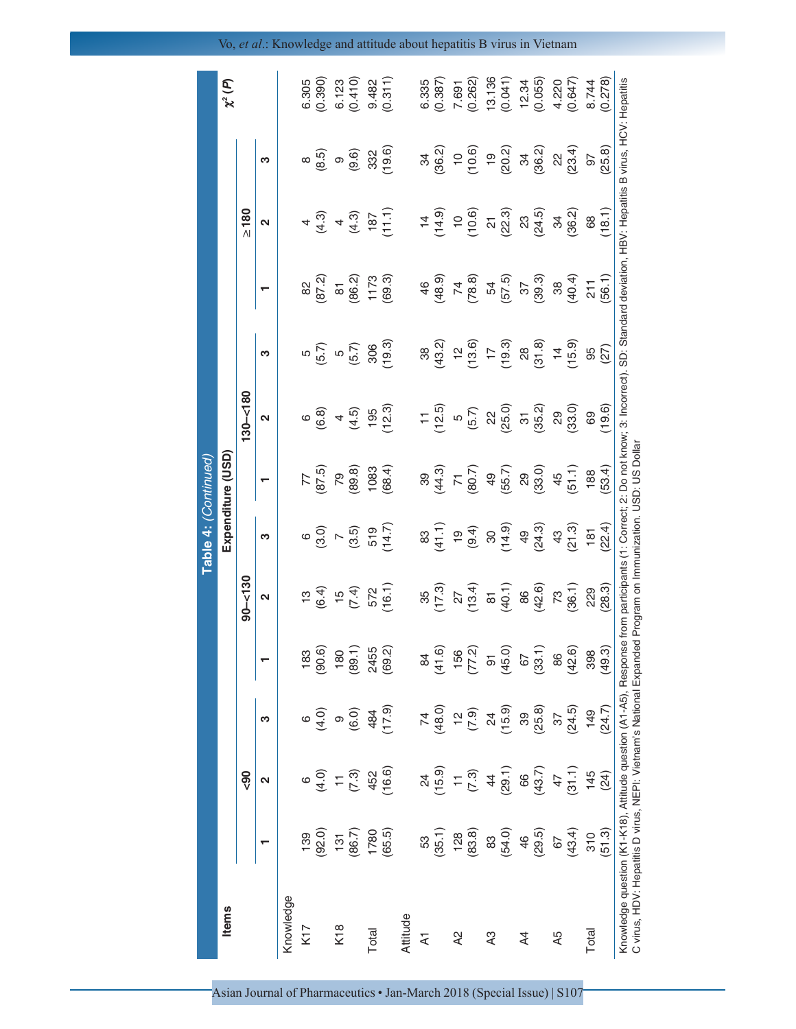| <b>Items</b>   |                                             |                   |                         |                   |                   |                         | Expenditure (USD) |                     |                   |                     |                     |                     | $\chi^2(P)$ |
|----------------|---------------------------------------------|-------------------|-------------------------|-------------------|-------------------|-------------------------|-------------------|---------------------|-------------------|---------------------|---------------------|---------------------|-------------|
|                |                                             | <b>90</b>         |                         |                   | $90 - 130$        |                         |                   | $130 - 180$         |                   |                     | $\geq 180$          |                     |             |
|                |                                             | Ν                 | ო                       |                   | $\mathbf{\Omega}$ | ო                       |                   | $\mathbf{\Omega}$   | ო                 |                     | $\mathbf{\Omega}$   | ო                   |             |
| Knowledge      |                                             |                   |                         |                   |                   |                         |                   |                     |                   |                     |                     |                     |             |
| K17            | 139                                         |                   |                         | 183               |                   |                         |                   |                     | Ю                 |                     | 4                   | ∞                   | 6.305       |
|                | (92.0)                                      | (4.0)             | (4.0)                   | (90.6)            | $13$<br>(6.4)     | $\circ \atop{6}{\odot}$ | (67.5)            | <sup>ර</sup> ම      | (5.7)             | 82<br>(87.2)        | (4.3)               | (8.5)               | (0.390)     |
| K18            | 131                                         |                   |                         | 180               |                   | $\overline{a}$          | 79                | 4                   | LO                | $\overline{\infty}$ | 4                   | $\circ$             | 6.123       |
|                | (86.7)                                      | (7.3)             | (6.0)                   | (89.1)            | (7.4)             | (3.5)                   | (89.8)            | (4.5)               | (5.7)             | (86.2)              | (4.3)               | (9.6)               | (0.410)     |
| Total          |                                             |                   | 484                     | 2455<br>(69.2)    |                   | 519                     | 1083              | 195                 | 306               | $1173$<br>(69.3)    |                     | 332                 | 9.482       |
|                | 1780<br>(65.5)                              | 452<br>16.6)      | (6.11)                  |                   | 572<br>(16.1)     | (14.7)                  | (68.4)            | (12.3)              | (19.3)            |                     | (11.1)              | (19.6)              | (0.311)     |
| Attitude       |                                             |                   |                         |                   |                   |                         |                   |                     |                   |                     |                     |                     |             |
| $\overline{A}$ |                                             |                   |                         | $\frac{8}{4}$     | 35                | 83                      | 39                |                     | 38                | 46                  |                     | ೫                   | 6.335       |
|                | $\frac{53}{(35.1)}$                         | $24$<br>(15.9)    |                         | (41.6)            | (17.3)            | (41.1)                  | (44.3)            | (12.5)              | (43.2)            | (48.9)              | (14.9)              | (36.2)              | (0.387)     |
| $\lambda$ 2    |                                             |                   |                         |                   |                   | $\overline{6}$          | $\overline{z}$    | $\overline{c}$      | $\frac{1}{2}$     | $\overline{z}$      | $\overline{0}$      | $\overline{C}$      | 7.691       |
|                | $\begin{pmatrix} 128 \\ 83.8 \end{pmatrix}$ | $\frac{1}{(7.3)}$ | $74$<br>(48.0)<br>12.9) | $156$<br>$(77.2)$ | (13.4)            | (9.4)                   | (80.7)            | (5.7)               | (13.6)            | (78.8)              | (10.6)              | (10.6)              | (0.262)     |
| A3             |                                             |                   |                         |                   |                   |                         | 49                |                     | $\frac{17}{19.3}$ |                     |                     | $\frac{1}{2}$       | 13.136      |
|                | 83<br>(54.0)                                | (29.1)            | $24$<br>(15.9)          | (0.94)            | (40.1)            | (14.9)                  | (55.7)            | $\frac{22}{(25.0)}$ |                   | 54<br>54<br>54      | $\frac{21}{(22.3)}$ | (20.2)              | (0.041)     |
| $\overline{4}$ | 46                                          | 66                | 39                      | 67                | 86                | $\frac{1}{6}$           | 29                |                     | 28                |                     | 23                  | 34                  | 12.34       |
|                | (29.5)                                      | (43.7)            | (25.8)                  | (33.1)            | (42.6)            | (24.3)                  | (33.0)            | (35.2)              | (31.8)            | $\frac{37}{(39.3)}$ | (24.5)              | (36.2)              | (0.055)     |
| A5             | 67                                          | 47                | 37                      | 86                |                   | $43\,$                  | 45                | $\mathbb{S}^2$      |                   | $38\,$              | ಕ್ಷ                 |                     | 4.220       |
|                | (43.4)                                      | (31.1)            | (24.5)                  | (42.6)            | $73$<br>(36.1)    | (21.3)                  | (51.1)            | (33.0)              | (15.9)            | (40.4)              | (36.2)              | $\frac{22}{(23.4)}$ | (0.647)     |
| Total          | 310                                         | 145               | 149                     | 398               | 229               | 181                     | 188               | 69                  | 95                | 211                 | 68                  | 97                  | 8.744       |
|                | (51.3)                                      | (24)              | (24.7)                  | (49.3)            | (28.3)            | (22.4)                  | (53.4)            | (19.6)              | (27)              | (56.1)              | (18.1)              | (25.8)              | (0.278)     |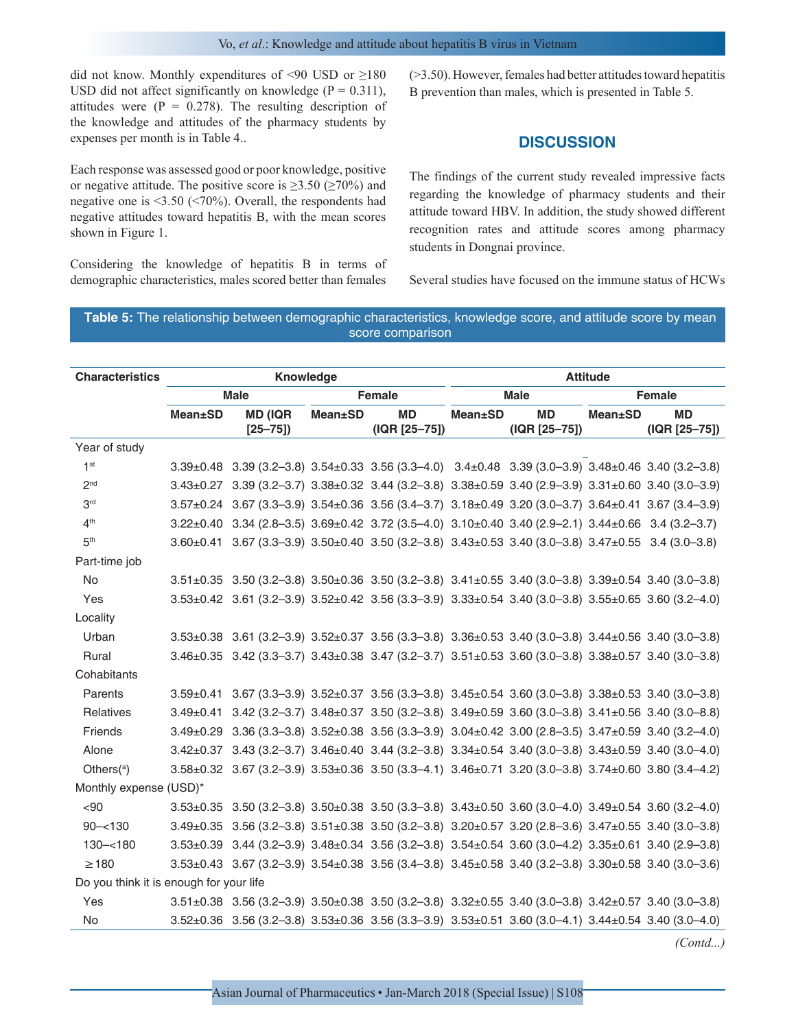did not know. Monthly expenditures of <90 USD or  $\geq$ 180 USD did not affect significantly on knowledge ( $P = 0.311$ ), attitudes were  $(P = 0.278)$ . The resulting description of the knowledge and attitudes of the pharmacy students by expenses per month is in Table 4..

Each response was assessed good or poor knowledge, positive or negative attitude. The positive score is  $\geq$ 3.50 ( $\geq$ 70%) and negative one is <3.50 (<70%). Overall, the respondents had negative attitudes toward hepatitis B, with the mean scores shown in Figure 1.

Considering the knowledge of hepatitis B in terms of demographic characteristics, males scored better than females

(>3.50). However, females had better attitudes toward hepatitis B prevention than males, which is presented in Table 5.

## **DISCUSSION**

The findings of the current study revealed impressive facts regarding the knowledge of pharmacy students and their attitude toward HBV. In addition, the study showed different recognition rates and attitude scores among pharmacy students in Dongnai province.

Several studies have focused on the immune status of HCWs

#### **Table 5:** The relationship between demographic characteristics, knowledge score, and attitude score by mean score comparison

| <b>Characteristics</b>                  |                 | Knowledge                                                                                                                   |                 |                            |                 |                            | <b>Attitude</b> |                                 |
|-----------------------------------------|-----------------|-----------------------------------------------------------------------------------------------------------------------------|-----------------|----------------------------|-----------------|----------------------------|-----------------|---------------------------------|
|                                         |                 | <b>Male</b>                                                                                                                 |                 | Female                     |                 | <b>Male</b>                |                 | Female                          |
|                                         | <b>Mean</b> ±SD | <b>MD (IQR</b><br>$[25 - 75]$                                                                                               | <b>Mean</b> ±SD | <b>MD</b><br>(IQR [25-75]) | <b>Mean</b> ±SD | <b>MD</b><br>(IQR [25-75]) | $Mean \pm SD$   | <b>MD</b><br>$( IQR [25 - 75])$ |
| Year of study                           |                 |                                                                                                                             |                 |                            |                 |                            |                 |                                 |
| 1 <sup>st</sup>                         |                 | 3.39±0.48 3.39 (3.2-3.8) 3.54±0.33 3.56 (3.3-4.0) 3.4±0.48 3.39 (3.0-3.9) 3.48±0.46 3.40 (3.2-3.8)                          |                 |                            |                 |                            |                 |                                 |
| 2 <sub>nd</sub>                         |                 | 3.43±0.27 3.39 (3.2-3.7) 3.38±0.32 3.44 (3.2-3.8) 3.38±0.59 3.40 (2.9-3.9) 3.31±0.60 3.40 (3.0-3.9)                         |                 |                            |                 |                            |                 |                                 |
| 3 <sup>rd</sup>                         |                 | 3.57±0.24 3.67 (3.3-3.9) 3.54±0.36 3.56 (3.4-3.7) 3.18±0.49 3.20 (3.0-3.7) 3.64±0.41 3.67 (3.4-3.9)                         |                 |                            |                 |                            |                 |                                 |
| 4 <sup>th</sup>                         |                 | 3.22±0.40 3.34 (2.8-3.5) 3.69±0.42 3.72 (3.5-4.0) 3.10±0.40 3.40 (2.9-2.1) 3.44±0.66 3.4 (3.2-3.7)                          |                 |                            |                 |                            |                 |                                 |
| 5 <sup>th</sup>                         |                 | 3.60±0.41 3.67 (3.3-3.9) 3.50±0.40 3.50 (3.2-3.8) 3.43±0.53 3.40 (3.0-3.8) 3.47±0.55 3.4 (3.0-3.8)                          |                 |                            |                 |                            |                 |                                 |
| Part-time job                           |                 |                                                                                                                             |                 |                            |                 |                            |                 |                                 |
| <b>No</b>                               |                 | $3.51\pm0.35$ $3.50$ (3.2-3.8) $3.50\pm0.36$ $3.50$ (3.2-3.8) $3.41\pm0.55$ $3.40$ (3.0-3.8) $3.39\pm0.54$ $3.40$ (3.0-3.8) |                 |                            |                 |                            |                 |                                 |
| Yes                                     |                 | 3.53±0.42 3.61 (3.2-3.9) 3.52±0.42 3.56 (3.3-3.9) 3.33±0.54 3.40 (3.0-3.8) 3.55±0.65 3.60 (3.2-4.0)                         |                 |                            |                 |                            |                 |                                 |
| Locality                                |                 |                                                                                                                             |                 |                            |                 |                            |                 |                                 |
| Urban                                   |                 | 3.53±0.38 3.61 (3.2-3.9) 3.52±0.37 3.56 (3.3-3.8) 3.36±0.53 3.40 (3.0-3.8) 3.44±0.56 3.40 (3.0-3.8)                         |                 |                            |                 |                            |                 |                                 |
| Rural                                   |                 | 3.46±0.35 3.42 (3.3-3.7) 3.43±0.38 3.47 (3.2-3.7) 3.51±0.53 3.60 (3.0-3.8) 3.38±0.57 3.40 (3.0-3.8)                         |                 |                            |                 |                            |                 |                                 |
| Cohabitants                             |                 |                                                                                                                             |                 |                            |                 |                            |                 |                                 |
| Parents                                 |                 | $3.59\pm0.41$ $3.67$ (3.3-3.9) $3.52\pm0.37$ $3.56$ (3.3-3.8) $3.45\pm0.54$ $3.60$ (3.0-3.8) $3.38\pm0.53$ $3.40$ (3.0-3.8) |                 |                            |                 |                            |                 |                                 |
| Relatives                               |                 | 3.49±0.41 3.42 (3.2-3.7) 3.48±0.37 3.50 (3.2-3.8) 3.49±0.59 3.60 (3.0-3.8) 3.41±0.56 3.40 (3.0-8.8)                         |                 |                            |                 |                            |                 |                                 |
| Friends                                 |                 | 3.49±0.29 3.36 (3.3-3.8) 3.52±0.38 3.56 (3.3-3.9) 3.04±0.42 3.00 (2.8-3.5) 3.47±0.59 3.40 (3.2-4.0)                         |                 |                            |                 |                            |                 |                                 |
| Alone                                   |                 | 3.42±0.37 3.43 (3.2-3.7) 3.46±0.40 3.44 (3.2-3.8) 3.34±0.54 3.40 (3.0-3.8) 3.43±0.59 3.40 (3.0-4.0)                         |                 |                            |                 |                            |                 |                                 |
| Others $(^\alpha)$                      |                 | 3.58±0.32 3.67 (3.2-3.9) 3.53±0.36 3.50 (3.3-4.1) 3.46±0.71 3.20 (3.0-3.8) 3.74±0.60 3.80 (3.4-4.2)                         |                 |                            |                 |                            |                 |                                 |
| Monthly expense (USD)*                  |                 |                                                                                                                             |                 |                            |                 |                            |                 |                                 |
| $90$                                    |                 | 3.53±0.35 3.50 (3.2-3.8) 3.50±0.38 3.50 (3.3-3.8) 3.43±0.50 3.60 (3.0-4.0) 3.49±0.54 3.60 (3.2-4.0)                         |                 |                            |                 |                            |                 |                                 |
| $90 - 130$                              |                 | $3.49\pm0.35$ 3.56 (3.2-3.8) $3.51\pm0.38$ 3.50 (3.2-3.8) 3.20 $\pm0.57$ 3.20 (2.8-3.6) 3.47 $\pm0.55$ 3.40 (3.0-3.8)       |                 |                            |                 |                            |                 |                                 |
| $130 - 180$                             |                 | 3.53±0.39 3.44 (3.2-3.9) 3.48±0.34 3.56 (3.2-3.8) 3.54±0.54 3.60 (3.0-4.2) 3.35±0.61 3.40 (2.9-3.8)                         |                 |                            |                 |                            |                 |                                 |
| $\geq$ 180                              |                 | 3.53±0.43 3.67 (3.2-3.9) 3.54±0.38 3.56 (3.4-3.8) 3.45±0.58 3.40 (3.2-3.8) 3.30±0.58 3.40 (3.0-3.6)                         |                 |                            |                 |                            |                 |                                 |
| Do you think it is enough for your life |                 |                                                                                                                             |                 |                            |                 |                            |                 |                                 |
| Yes                                     |                 | 3.51±0.38 3.56 (3.2-3.9) 3.50±0.38 3.50 (3.2-3.8) 3.32±0.55 3.40 (3.0-3.8) 3.42±0.57 3.40 (3.0-3.8)                         |                 |                            |                 |                            |                 |                                 |
| No                                      |                 | 3.52±0.36 3.56 (3.2-3.8) 3.53±0.36 3.56 (3.3-3.9) 3.53±0.51 3.60 (3.0-4.1) 3.44±0.54 3.40 (3.0-4.0)                         |                 |                            |                 |                            |                 |                                 |

*(Contd...)*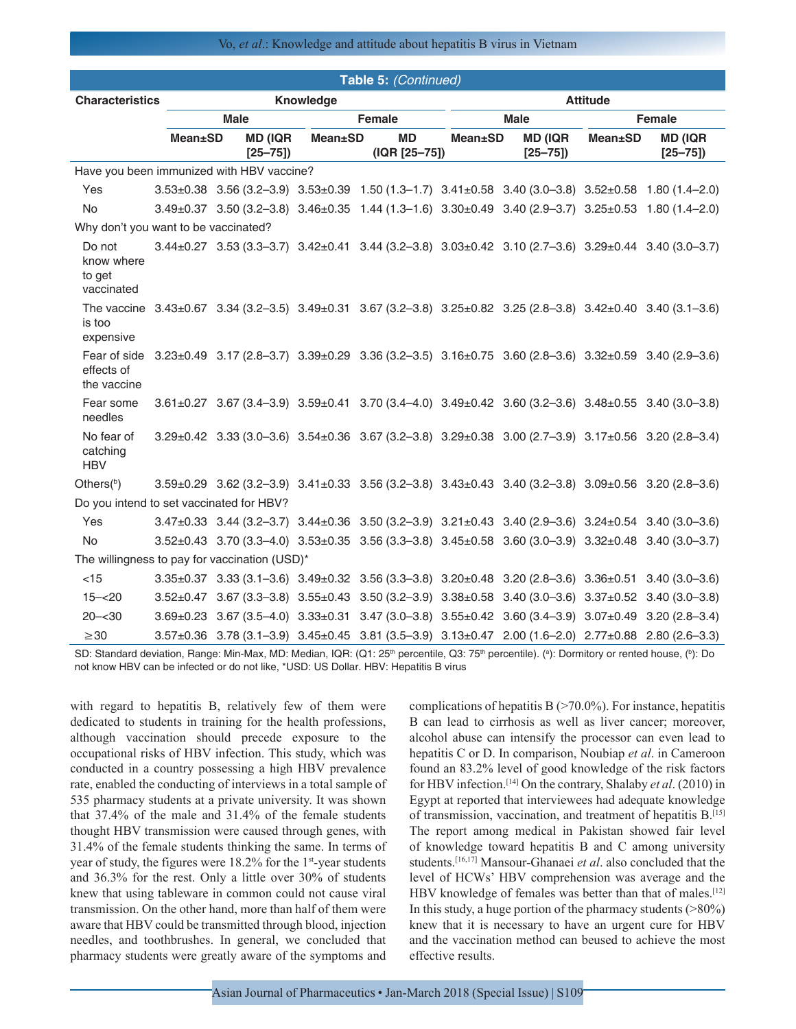#### Vo, *et al*.: Knowledge and attitude about hepatitis B virus in Vietnam

|                                               |                 |             |                               |                 | Table 5: (Continued)                                                                                                                |                 |                               |                 |                                |
|-----------------------------------------------|-----------------|-------------|-------------------------------|-----------------|-------------------------------------------------------------------------------------------------------------------------------------|-----------------|-------------------------------|-----------------|--------------------------------|
| <b>Characteristics</b>                        |                 |             |                               | Knowledge       |                                                                                                                                     |                 |                               | <b>Attitude</b> |                                |
|                                               |                 | <b>Male</b> |                               |                 | <b>Female</b>                                                                                                                       |                 | <b>Male</b>                   |                 | <b>Female</b>                  |
|                                               | <b>Mean</b> ±SD |             | <b>MD (IQR</b><br>$[25 - 75]$ | <b>Mean</b> ±SD | <b>MD</b><br>(IQR [25-75])                                                                                                          | <b>Mean</b> ±SD | <b>MD (IQR</b><br>$[25 - 75]$ | <b>Mean</b> ±SD | <b>MD (IQR)</b><br>$[25 - 75]$ |
| Have you been immunized with HBV vaccine?     |                 |             |                               |                 |                                                                                                                                     |                 |                               |                 |                                |
| Yes                                           |                 |             |                               |                 | 3.53±0.38 3.56 (3.2-3.9) 3.53±0.39 1.50 (1.3-1.7) 3.41±0.58 3.40 (3.0-3.8) 3.52±0.58 1.80 (1.4-2.0)                                 |                 |                               |                 |                                |
| <b>No</b>                                     |                 |             |                               |                 | 3.49±0.37 3.50 (3.2-3.8) 3.46±0.35 1.44 (1.3-1.6) 3.30±0.49 3.40 (2.9-3.7) 3.25±0.53 1.80 (1.4-2.0)                                 |                 |                               |                 |                                |
| Why don't you want to be vaccinated?          |                 |             |                               |                 |                                                                                                                                     |                 |                               |                 |                                |
| Do not<br>know where<br>to get<br>vaccinated  |                 |             |                               |                 | 3.44±0.27 3.53 (3.3-3.7) 3.42±0.41 3.44 (3.2-3.8) 3.03±0.42 3.10 (2.7-3.6) 3.29±0.44 3.40 (3.0-3.7)                                 |                 |                               |                 |                                |
| is too<br>expensive                           |                 |             |                               |                 | The vaccine 3.43±0.67 3.34 (3.2-3.5) 3.49±0.31 3.67 (3.2-3.8) 3.25±0.82 3.25 (2.8-3.8) 3.42±0.40 3.40 (3.1-3.6)                     |                 |                               |                 |                                |
| Fear of side<br>effects of<br>the vaccine     |                 |             |                               |                 | $3.23 \pm 0.49$ $3.17$ (2.8-3.7) $3.39 \pm 0.29$ $3.36$ (3.2-3.5) $3.16 \pm 0.75$ $3.60$ (2.8-3.6) $3.32 \pm 0.59$ $3.40$ (2.9-3.6) |                 |                               |                 |                                |
| Fear some<br>needles                          |                 |             |                               |                 | $3.61 \pm 0.27$ $3.67$ (3.4-3.9) $3.59 \pm 0.41$ 3.70 (3.4-4.0) $3.49 \pm 0.42$ 3.60 (3.2-3.6) $3.48 \pm 0.55$ 3.40 (3.0-3.8)       |                 |                               |                 |                                |
| No fear of<br>catching<br><b>HBV</b>          |                 |             |                               |                 | 3.29±0.42 3.33 (3.0-3.6) 3.54±0.36 3.67 (3.2-3.8) 3.29±0.38 3.00 (2.7-3.9) 3.17±0.56 3.20 (2.8-3.4)                                 |                 |                               |                 |                                |
| Others $(^{b})$                               |                 |             |                               |                 | $3.59\pm0.29$ $3.62$ (3.2-3.9) $3.41\pm0.33$ $3.56$ (3.2-3.8) $3.43\pm0.43$ $3.40$ (3.2-3.8) $3.09\pm0.56$ $3.20$ (2.8-3.6)         |                 |                               |                 |                                |
| Do you intend to set vaccinated for HBV?      |                 |             |                               |                 |                                                                                                                                     |                 |                               |                 |                                |
| Yes                                           |                 |             |                               |                 | 3.47±0.33 3.44 (3.2-3.7) 3.44±0.36 3.50 (3.2-3.9) 3.21±0.43 3.40 (2.9-3.6) 3.24±0.54 3.40 (3.0-3.6)                                 |                 |                               |                 |                                |
| <b>No</b>                                     |                 |             |                               |                 | 3.52±0.43 3.70 (3.3-4.0) 3.53±0.35 3.56 (3.3-3.8) 3.45±0.58 3.60 (3.0-3.9) 3.32±0.48 3.40 (3.0-3.7)                                 |                 |                               |                 |                                |
| The willingness to pay for vaccination (USD)* |                 |             |                               |                 |                                                                                                                                     |                 |                               |                 |                                |
| $<$ 15                                        |                 |             |                               |                 | $3.35\pm0.37$ $3.33$ (3.1-3.6) $3.49\pm0.32$ 3.56 (3.3-3.8) $3.20\pm0.48$ 3.20 (2.8-3.6) $3.36\pm0.51$ 3.40 (3.0-3.6)               |                 |                               |                 |                                |
| $15 - 20$                                     |                 |             |                               |                 | $3.52\pm0.47$ $3.67$ (3.3-3.8) $3.55\pm0.43$ $3.50$ (3.2-3.9) $3.38\pm0.58$ $3.40$ (3.0-3.6) $3.37\pm0.52$ $3.40$ (3.0-3.8)         |                 |                               |                 |                                |
| $20 - 30$                                     |                 |             |                               |                 | 3.69±0.23 3.67 (3.5-4.0) 3.33±0.31 3.47 (3.0-3.8) 3.55±0.42 3.60 (3.4-3.9) 3.07±0.49 3.20 (2.8-3.4)                                 |                 |                               |                 |                                |
| $\geq 30$                                     |                 |             |                               |                 | 3.57±0.36 3.78 (3.1-3.9) 3.45±0.45 3.81 (3.5-3.9) 3.13±0.47 2.00 (1.6-2.0) 2.77±0.88 2.80 (2.6-3.3)                                 |                 |                               |                 |                                |

SD: Standard deviation, Range: Min-Max, MD: Median, IQR: (Q1: 25<sup>th</sup> percentile, Q3: 75<sup>th</sup> percentile). (ª): Dormitory or rented house, (<sup>b</sup>): Do not know HBV can be infected or do not like, \*USD: US Dollar. HBV: Hepatitis B virus

with regard to hepatitis B, relatively few of them were dedicated to students in training for the health professions, although vaccination should precede exposure to the occupational risks of HBV infection. This study, which was conducted in a country possessing a high HBV prevalence rate, enabled the conducting of interviews in a total sample of 535 pharmacy students at a private university. It was shown that 37.4% of the male and 31.4% of the female students thought HBV transmission were caused through genes, with 31.4% of the female students thinking the same. In terms of year of study, the figures were 18.2% for the 1<sup>st</sup>-year students and 36.3% for the rest. Only a little over 30% of students knew that using tableware in common could not cause viral transmission. On the other hand, more than half of them were aware that HBV could be transmitted through blood, injection needles, and toothbrushes. In general, we concluded that pharmacy students were greatly aware of the symptoms and complications of hepatitis  $B$  ( $>70.0\%$ ). For instance, hepatitis B can lead to cirrhosis as well as liver cancer; moreover, alcohol abuse can intensify the processor can even lead to hepatitis C or D. In comparison, Noubiap *et al*. in Cameroon found an 83.2% level of good knowledge of the risk factors for HBV infection.[14] On the contrary, Shalaby *et al*. (2010) in Egypt at reported that interviewees had adequate knowledge of transmission, vaccination, and treatment of hepatitis B.[15] The report among medical in Pakistan showed fair level of knowledge toward hepatitis B and C among university students.[16,17] Mansour-Ghanaei *et al*. also concluded that the level of HCWs' HBV comprehension was average and the HBV knowledge of females was better than that of males.<sup>[12]</sup> In this study, a huge portion of the pharmacy students  $(>\!\!80\%)$ knew that it is necessary to have an urgent cure for HBV and the vaccination method can beused to achieve the most effective results.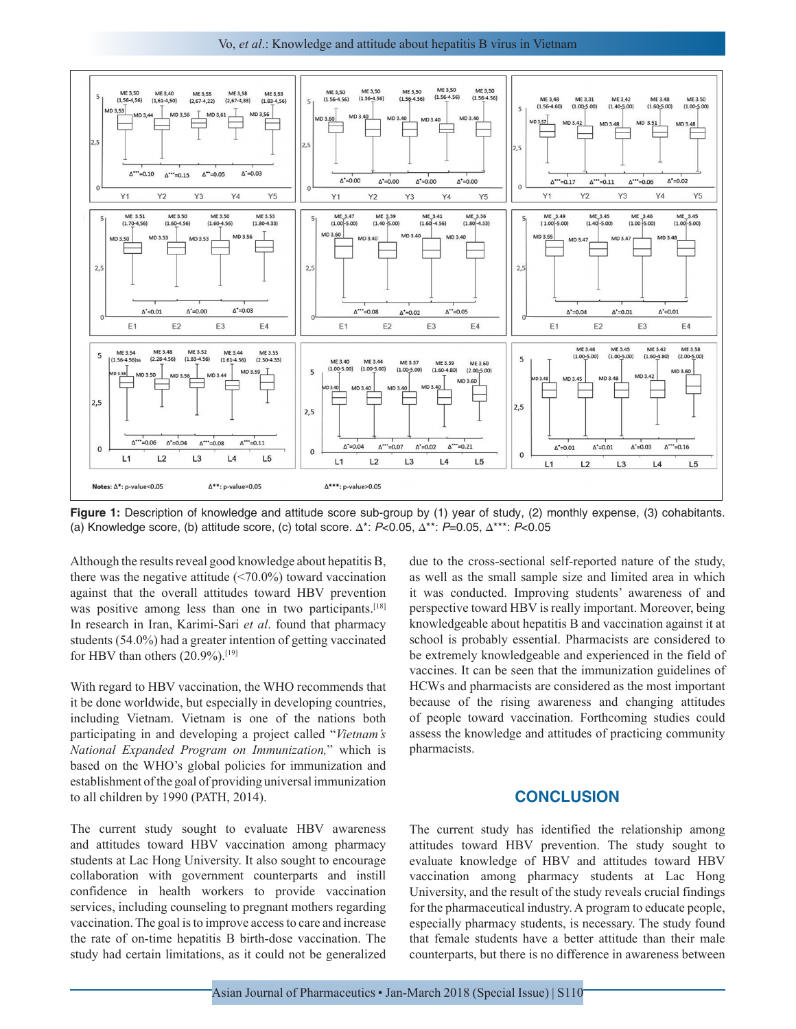Vo, *et al*.: Knowledge and attitude about hepatitis B virus in Vietnam



**Figure 1:** Description of knowledge and attitude score sub-group by (1) year of study, (2) monthly expense, (3) cohabitants. (a) Knowledge score, (b) attitude score, (c) total score. ∆\*: *P*<0.05, ∆\*\*: *P*=0.05, ∆\*\*\*: *P*<0.05

Although the results reveal good knowledge about hepatitis B, there was the negative attitude  $(\leq 70.0\%)$  toward vaccination against that the overall attitudes toward HBV prevention was positive among less than one in two participants.<sup>[18]</sup> In research in Iran, Karimi-Sari *et al*. found that pharmacy students (54.0%) had a greater intention of getting vaccinated for HBV than others  $(20.9\%)$ .<sup>[19]</sup>

With regard to HBV vaccination, the WHO recommends that it be done worldwide, but especially in developing countries, including Vietnam. Vietnam is one of the nations both participating in and developing a project called "*Vietnam's National Expanded Program on Immunization,*" which is based on the WHO's global policies for immunization and establishment of the goal of providing universal immunization to all children by 1990 (PATH, 2014).

The current study sought to evaluate HBV awareness and attitudes toward HBV vaccination among pharmacy students at Lac Hong University. It also sought to encourage collaboration with government counterparts and instill confidence in health workers to provide vaccination services, including counseling to pregnant mothers regarding vaccination. The goal is to improve access to care and increase the rate of on-time hepatitis B birth-dose vaccination. The study had certain limitations, as it could not be generalized due to the cross-sectional self-reported nature of the study, as well as the small sample size and limited area in which it was conducted. Improving students' awareness of and perspective toward HBV is really important. Moreover, being knowledgeable about hepatitis B and vaccination against it at school is probably essential. Pharmacists are considered to be extremely knowledgeable and experienced in the field of vaccines. It can be seen that the immunization guidelines of HCWs and pharmacists are considered as the most important because of the rising awareness and changing attitudes of people toward vaccination. Forthcoming studies could assess the knowledge and attitudes of practicing community pharmacists.

#### **CONCLUSION**

The current study has identified the relationship among attitudes toward HBV prevention. The study sought to evaluate knowledge of HBV and attitudes toward HBV vaccination among pharmacy students at Lac Hong University, and the result of the study reveals crucial findings for the pharmaceutical industry. A program to educate people, especially pharmacy students, is necessary. The study found that female students have a better attitude than their male counterparts, but there is no difference in awareness between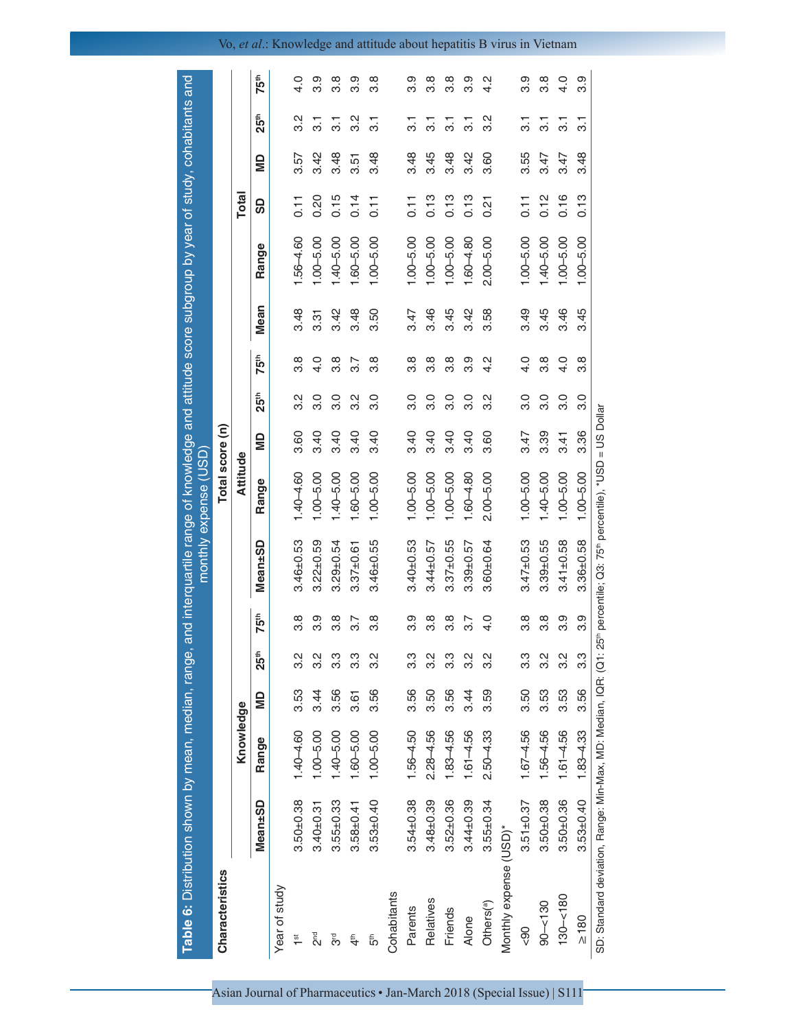| Table 6: Distribution shown by mean, median, range, and interquartile range of knowledge and attitude score subgroup by year of study, cohabitants and |                 |               |      |                  |                  |                                                                                 | monthly expense (USD) |      |                  |                  |      |               |              |      |                           |                  |
|--------------------------------------------------------------------------------------------------------------------------------------------------------|-----------------|---------------|------|------------------|------------------|---------------------------------------------------------------------------------|-----------------------|------|------------------|------------------|------|---------------|--------------|------|---------------------------|------------------|
| Characteristics                                                                                                                                        |                 |               |      |                  |                  |                                                                                 | Total score (n)       |      |                  |                  |      |               |              |      |                           |                  |
|                                                                                                                                                        |                 | Knowledge     |      |                  |                  |                                                                                 | Attitude              |      |                  |                  |      |               | <b>Total</b> |      |                           |                  |
|                                                                                                                                                        | Mean±SD         | Range         | g    | 25 <sup>th</sup> | 75 <sup>th</sup> | Mean±SD                                                                         | Range                 | g    | <b>25th</b>      | 75 <sup>th</sup> | Mean | Range         | 9            | g    | 25 <sup>th</sup>          | 75 <sup>th</sup> |
| Year of study                                                                                                                                          |                 |               |      |                  |                  |                                                                                 |                       |      |                  |                  |      |               |              |      |                           |                  |
| 1 <sup>st</sup>                                                                                                                                        | $3.50 \pm 0.38$ | $1.40 - 4.60$ | 3.53 | $3.\overline{2}$ | $3.\overline{8}$ | $3.46 \pm 0.53$                                                                 | $1.40 - 4.60$         | 3.60 | 3.2              | 3.8              | 3.48 | $1.56 - 4.60$ | 0.11         | 3.57 | 3.2                       | 4.0              |
| е<br>С                                                                                                                                                 | $3.40 \pm 0.31$ | $1.00 - 5.00$ | 3.44 | 3.2              | 3.9              | $3.22 \pm 0.59$                                                                 | $1.00 - 5.00$         | 3.40 | 3.0              | $\frac{0}{4}$    | 3.31 | $1.00 - 5.00$ | 0.20         | 3.42 | 51                        | 3.9              |
| შ<br>თ                                                                                                                                                 | $3.55 \pm 0.33$ | $1.40 - 5.00$ | 3.56 | $3.\overline{3}$ | $\frac{8}{3}$    | $3.29 + 0.54$                                                                   | $1.40 - 5.00$         | 3.40 | 3.0              | 3.8              | 3.42 | $1.40 - 5.00$ | 0.15         | 3.48 | $\overline{3}$            | œ<br>ကံ          |
| 4 <sup>th</sup>                                                                                                                                        | $3.58 + 0.41$   | $1.60 - 5.00$ | 3.61 | 3.3              | 3.7              | $3.37 \pm 0.61$                                                                 | $1.60 - 5.00$         | 3.40 | $3.\overline{2}$ | 3.7              | 3.48 | $1.60 - 5.00$ | 0.14         | 3.51 | $\frac{2}{3}$             | 3.9              |
| 5th                                                                                                                                                    | $3.53 \pm 0.40$ | $1.00 - 5.00$ | 3.56 | 3.2              | 3.8              | $3.46 \pm 0.55$                                                                 | $1.00 - 5.00$         | 3.40 | 3.0              | 3.8              | 3.50 | $1.00 - 5.00$ | 0.11         | 3.48 | $\overline{\mathbf{3}}$ . | œ<br>ຕ           |
| Cohabitants                                                                                                                                            |                 |               |      |                  |                  |                                                                                 |                       |      |                  |                  |      |               |              |      |                           |                  |
| Parents                                                                                                                                                | $3.54 \pm 0.38$ | $1.56 - 4.50$ | 3.56 | 3.3              | 3.9              | $3.40 \pm 0.53$                                                                 | $1.00 - 5.00$         | 3.40 | 3.0              | 3.8              | 3.47 | $1.00 - 5.00$ | 0.11         | 3.48 | 51                        | 3.9              |
| Relatives                                                                                                                                              | $3.48 + 0.39$   | $2.28 - 4.56$ | 3.50 | 3.2              | 3.8              | $3.44 \pm 0.57$                                                                 | $1.00 - 5.00$         | 3.40 | 3.0              | 3.8              | 3.46 | $1.00 - 5.00$ | 0.13         | 3.45 | 5                         | 3.8              |
| Friends                                                                                                                                                | $3.52 \pm 0.36$ | $1.83 - 4.56$ | 3.56 | 3.3              | $\frac{8}{3}$    | $3.37 + 0.55$                                                                   | $1.00 - 5.00$         | 3.40 | 3.0              | 3.8              | 3.45 | $1.00 - 5.00$ | 0.13         | 3.48 | <u>ನ</u>                  | œ<br>ကံ          |
| Alone                                                                                                                                                  | $3.44 \pm 0.39$ | $1.61 - 4.56$ | 3.44 | 3.2              | $\overline{3.7}$ | $3.39 \pm 0.57$                                                                 | $1.60 - 4.80$         | 3.40 | 3.0              | 3.9              | 3.42 | $1.60 - 4.80$ | 0.13         | 3.42 | 5                         | 3.9              |
| Others <sup>(a)</sup>                                                                                                                                  | $3.55 \pm 0.34$ | $2.50 - 4.33$ | 3.59 | 3.2              | 4.0              | $3.60 \pm 0.64$                                                                 | $2.00 - 5.00$         | 3.60 | 3.2              | 4.2              | 3.58 | $2.00 - 5.00$ | 0.21         | 3.60 | 3.2                       | Ņ<br>4.          |
| Monthly expense (USD)*                                                                                                                                 |                 |               |      |                  |                  |                                                                                 |                       |      |                  |                  |      |               |              |      |                           |                  |
| 90                                                                                                                                                     | $3.51 \pm 0.37$ | $1.67 - 4.56$ | 3.50 | 3.3              | 3.8              | $3.47 \pm 0.53$                                                                 | $1.00 - 5.00$         | 3.47 | 3.0              | 4.0              | 3.49 | $1.00 - 5.00$ | 0.11         | 3.55 | 51                        | 3.9              |
| $90 - 130$                                                                                                                                             | $3.50 \pm 0.38$ | $1.56 - 4.56$ | 3.53 | 3.2              | 3.8              | $3.39 \pm 0.55$                                                                 | $1.40 - 5.00$         | 3.39 | 3.0              | 3.8              | 3.45 | $1.40 - 5.00$ | 0.12         | 3.47 | <u>ನ</u>                  | 3.8              |
| $130 - 180$                                                                                                                                            | $3.50 + 0.36$   | $1.61 - 4.56$ | 3.53 | 3.2              | 3.9              | $3.41 \pm 0.58$                                                                 | $1.00 - 5.00$         | 3.41 | 3.0              | 4.0              | 3.46 | $1.00 - 5.00$ | 0.16         | 3.47 | <u>ನ</u>                  | 4.0              |
| $\geq 180$                                                                                                                                             | $3.53 \pm 0.40$ | $1.83 - 4.33$ | 3.56 | 3.3              | 3.9              | $3.36 \pm 0.58$                                                                 | $1.00 - 5.00$         | 3.36 | 3.0              | œ<br>က           | 3.45 | $1.00 - 5.00$ | 0.13         | 3.48 | $\overline{\mathcal{S}}$  | တ<br>က           |
| SD: Standard deviation, Range: Min-Max, MD: Median, IQR: (Q1:                                                                                          |                 |               |      |                  |                  | 25 <sup>th</sup> percentile; Q3: 75 <sup>th</sup> percentile), *USD = US Dollar |                       |      |                  |                  |      |               |              |      |                           |                  |